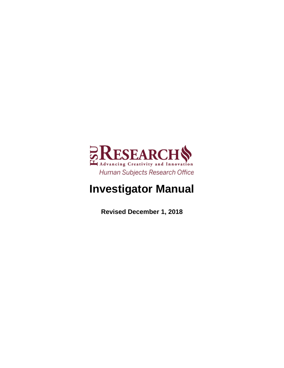

**Revised December 1, 2018**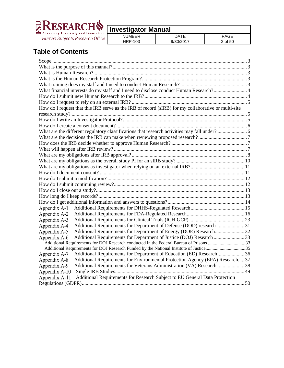

| _             |                    |                        |
|---------------|--------------------|------------------------|
| <b>NUMBER</b> | $\cdot$ $\Delta T$ | $\sim$ $\sim$<br>D A ( |
| 103<br>'HRP-  | ד 10<br>u/         | 2 of 50                |

# **Table of Contents**

|               | What financial interests do my staff and I need to disclose conduct Human Research?4                |  |
|---------------|-----------------------------------------------------------------------------------------------------|--|
|               |                                                                                                     |  |
|               |                                                                                                     |  |
|               | How do I request that this IRB serve as the IRB of record (sIRB) for my collaborative or multi-site |  |
|               |                                                                                                     |  |
|               |                                                                                                     |  |
|               |                                                                                                     |  |
|               |                                                                                                     |  |
|               |                                                                                                     |  |
|               |                                                                                                     |  |
|               |                                                                                                     |  |
|               |                                                                                                     |  |
|               |                                                                                                     |  |
|               |                                                                                                     |  |
|               |                                                                                                     |  |
|               |                                                                                                     |  |
|               |                                                                                                     |  |
|               |                                                                                                     |  |
|               |                                                                                                     |  |
|               |                                                                                                     |  |
| Appendix A-1  |                                                                                                     |  |
| Appendix A-2  |                                                                                                     |  |
| Appendix A-3  |                                                                                                     |  |
| Appendix A-4  | Additional Requirements for Department of Defense (DOD) research31                                  |  |
| Appendix A-5  | Additional Requirements for Department of Energy (DOE) Research32                                   |  |
| Appendix A-6  | Additional Requirements for Department of Justice (DOJ) Research 33                                 |  |
|               | Additional Requirements for DOJ Research conducted in the Federal Bureau of Prisons 33              |  |
|               | Additional Requirements for DOJ Research Funded by the National Institute of Justice35              |  |
| Appendix A-7  | Additional Requirements for Department of Education (ED) Research36                                 |  |
| Appendix A-8  | Additional Requirements for Environmental Protection Agency (EPA) Research 37                       |  |
| Appendix A-9  | Additional Requirements for Veterans Administration (VA) Research 38                                |  |
| Appendix A-10 |                                                                                                     |  |
| Appendix A-11 | Additional Requirements for Research Subject to EU General Data Protection                          |  |
|               |                                                                                                     |  |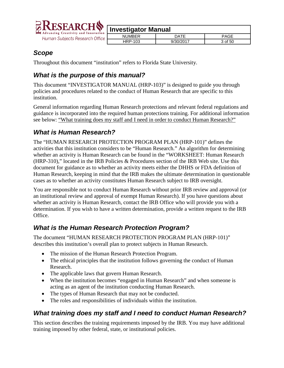

| creativity and Innovation.              |           |         |  |
|-----------------------------------------|-----------|---------|--|
| <b>NUMBER</b><br>bjects Research Office | ገATF      | PAGE    |  |
| <b>HRP-103</b>                          | 9/30/2017 | 3 of 50 |  |

# <span id="page-2-0"></span>*Scope*

Throughout this document "institution" refers to Florida State University.

# <span id="page-2-1"></span>*What is the purpose of this manual?*

This document "INVESTIGATOR MANUAL (HRP-103)" is designed to guide you through policies and procedures related to the conduct of Human Research that are specific to this institution.

General information regarding Human Research protections and relevant federal regulations and guidance is incorporated into the required human protections training. For additional information see below: "What training does my staff and I need in order to conduct Human Research?"

# <span id="page-2-2"></span>*What is Human Research?*

The "HUMAN RESEARCH PROTECTION PROGRAM PLAN (HRP-101)" defines the activities that this institution considers to be "Human Research." An algorithm for determining whether an activity is Human Research can be found in the "WORKSHEET: Human Research (HRP-310)," located in the IRB Policies & Procedures section of the IRB Web site. Use this document for guidance as to whether an activity meets either the DHHS or FDA definition of Human Research, keeping in mind that the IRB makes the ultimate determination in questionable cases as to whether an activity constitutes Human Research subject to IRB oversight.

You are responsible not to conduct Human Research without prior IRB review and approval (or an institutional review and approval of exempt Human Research). If you have questions about whether an activity is Human Research, contact the IRB Office who will provide you with a determination. If you wish to have a written determination, provide a written request to the IRB Office.

# <span id="page-2-3"></span>*What is the Human Research Protection Program?*

The document "HUMAN RESEARCH PROTECTION PROGRAM PLAN (HRP-101)" describes this institution's overall plan to protect subjects in Human Research.

- The mission of the Human Research Protection Program.
- The ethical principles that the institution follows governing the conduct of Human Research.
- The applicable laws that govern Human Research.
- When the institution becomes "engaged in Human Research" and when someone is acting as an agent of the institution conducting Human Research.
- The types of Human Research that may not be conducted.
- The roles and responsibilities of individuals within the institution.

# <span id="page-2-4"></span>*What training does my staff and I need to conduct Human Research?*

This section describes the training requirements imposed by the IRB. You may have additional training imposed by other federal, state, or institutional policies.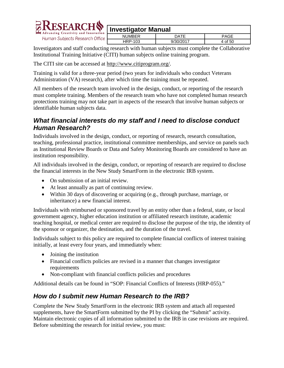

Investigators and staff conducting research with human subjects must complete the Collaborative Institutional Training Initiative (CITI) human subjects online training program.

The CITI site can be accessed at [http://www.citiprogram.org/.](http://www.citiprogram.org/)

Training is valid for a three-year period (two years for individuals who conduct Veterans Administration (VA) research), after which time the training must be repeated.

All members of the research team involved in the design, conduct, or reporting of the research must complete training. Members of the research team who have not completed human research protections training may not take part in aspects of the research that involve human subjects or identifiable human subjects data.

### <span id="page-3-0"></span>*What financial interests do my staff and I need to disclose conduct Human Research?*

Individuals involved in the design, conduct, or reporting of research, research consultation, teaching, professional practice, institutional committee memberships, and service on panels such as Institutional Review Boards or Data and Safety Monitoring Boards are considered to have an institution responsibility.

All individuals involved in the design, conduct, or reporting of research are required to disclose the financial interests in the New Study SmartForm in the electronic IRB system.

- On submission of an initial review.
- At least annually as part of continuing review.
- Within 30 days of discovering or acquiring (e.g., through purchase, marriage, or inheritance) a new financial interest.

Individuals with reimbursed or sponsored travel by an entity other than a federal, state, or local government agency, higher education institution or affiliated research institute, academic teaching hospital, or medical center are required to disclose the purpose of the trip, the identity of the sponsor or organizer, the destination, and the duration of the travel.

Individuals subject to this policy are required to complete financial conflicts of interest training initially, at least every four years, and immediately when:

- Joining the institution
- Financial conflicts policies are revised in a manner that changes investigator requirements
- Non-compliant with financial conflicts policies and procedures

Additional details can be found in "SOP: Financial Conflicts of Interests (HRP-055)."

# <span id="page-3-1"></span>*How do I submit new Human Research to the IRB?*

Complete the New Study SmartForm in the electronic IRB system and attach all requested supplements, have the SmartForm submitted by the PI by clicking the "Submit" activity. Maintain electronic copies of all information submitted to the IRB in case revisions are required. Before submitting the research for initial review, you must: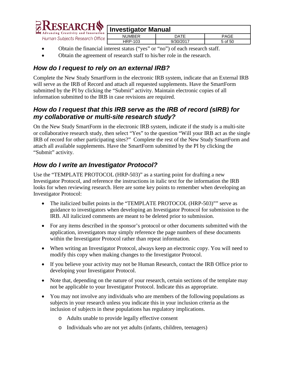

- Obtain the financial interest status ("yes" or "no") of each research staff.
- Obtain the agreement of research staff to his/her role in the research.

### <span id="page-4-0"></span>*How do I request to rely on an external IRB?*

<span id="page-4-1"></span>Complete the New Study SmartForm in the electronic IRB system, indicate that an External IRB will serve as the IRB of Record and attach all requested supplements. Have the SmartForm submitted by the PI by clicking the "Submit" activity. Maintain electronic copies of all information submitted to the IRB in case revisions are required.

### *How do I request that this IRB serve as the IRB of record (sIRB) for my collaborative or multi-site research study?*

On the New Study SmartForm in the electronic IRB system, indicate if the study is a multi-site or collaborative research study, then select "Yes" to the question "Will your IRB act as the single IRB of record for other participating sites?" Complete the rest of the New Study SmartForm and attach all available supplements. Have the SmartForm submitted by the PI by clicking the "Submit" activity.

### <span id="page-4-2"></span>*How do I write an Investigator Protocol?*

Use the "TEMPLATE PROTOCOL (HRP-503)" as a starting point for drafting a new Investigator Protocol, and reference the instructions in italic text for the information the IRB looks for when reviewing research. Here are some key points to remember when developing an Investigator Protocol:

- The italicized bullet points in the "TEMPLATE PROTOCOL (HRP-503)" serve as guidance to investigators when developing an Investigator Protocol for submission to the IRB. All italicized comments are meant to be deleted prior to submission.
- For any items described in the sponsor's protocol or other documents submitted with the application, investigators may simply reference the page numbers of these documents within the Investigator Protocol rather than repeat information.
- When writing an Investigator Protocol, always keep an electronic copy. You will need to modify this copy when making changes to the Investigator Protocol.
- If you believe your activity may not be Human Research, contact the IRB Office prior to developing your Investigator Protocol.
- Note that, depending on the nature of your research, certain sections of the template may not be applicable to your Investigator Protocol. Indicate this as appropriate.
- You may not involve any individuals who are members of the following populations as subjects in your research unless you indicate this in your inclusion criteria as the inclusion of subjects in these populations has regulatory implications.
	- o Adults unable to provide legally effective consent
	- o Individuals who are not yet adults (infants, children, teenagers)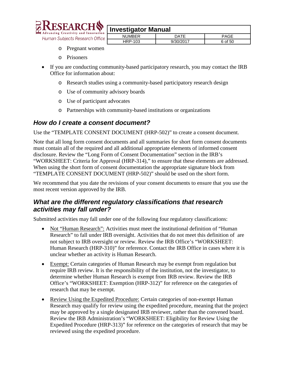

| ation                |         |             |         |
|----------------------|---------|-------------|---------|
| <i><b>Iffice</b></i> | NUMBER  | <b>IATF</b> | PAGE    |
|                      | HRP-103 | 9/30/2017   | 6 of 50 |

- o Pregnant women
- o Prisoners
- If you are conducting community-based participatory research, you may contact the IRB Office for information about:
	- o Research studies using a community-based participatory research design
	- o Use of community advisory boards
	- o Use of participant advocates
	- o Partnerships with community-based institutions or organizations

### <span id="page-5-0"></span>*How do I create a consent document?*

Use the "TEMPLATE CONSENT DOCUMENT (HRP-502)" to create a consent document.

Note that all long form consent documents and all summaries for short form consent documents must contain all of the required and all additional appropriate elements of informed consent disclosure. Review the "Long Form of Consent Documentation" section in the IRB's "WORKSHEET: Criteria for Approval (HRP-314)," to ensure that these elements are addressed. When using the short form of consent documentation the appropriate signature block from "TEMPLATE CONSENT DOCUMENT (HRP-502)" should be used on the short form.

We recommend that you date the revisions of your consent documents to ensure that you use the most recent version approved by the IRB.

### <span id="page-5-1"></span>*What are the different regulatory classifications that research activities may fall under?*

Submitted activities may fall under one of the following four regulatory classifications:

- Not "Human Research": Activities must meet the institutional definition of "Human" Research" to fall under IRB oversight. Activities that do not meet this definition of are not subject to IRB oversight or review. Review the IRB Office's "WORKSHEET: Human Research (HRP-310)" for reference. Contact the IRB Office in cases where it is unclear whether an activity is Human Research.
- Exempt: Certain categories of Human Research may be exempt from regulation but require IRB review. It is the responsibility of the institution, not the investigator, to determine whether Human Research is exempt from IRB review. Review the IRB Office's "WORKSHEET: Exemption (HRP-312)" for reference on the categories of research that may be exempt.
- Review Using the Expedited Procedure: Certain categories of non-exempt Human Research may qualify for review using the expedited procedure, meaning that the project may be approved by a single designated IRB reviewer, rather than the convened board. Review the IRB Administration's "WORKSHEET: Eligibility for Review Using the Expedited Procedure (HRP-313)" for reference on the categories of research that may be reviewed using the expedited procedure.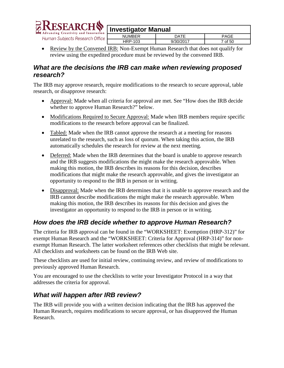

| Advancing Creativity and Innovation |               |           |         |
|-------------------------------------|---------------|-----------|---------|
| Human Subjects Research Office ↓    | <b>NUMBER</b> | DATE      | PAGE    |
|                                     | HRP-103       | 9/30/2017 | 7 of 50 |
|                                     |               |           |         |

• Review by the Convened IRB: Non-Exempt Human Research that does not qualify for review using the expedited procedure must be reviewed by the convened IRB.

### <span id="page-6-0"></span>*What are the decisions the IRB can make when reviewing proposed research?*

The IRB may approve research, require modifications to the research to secure approval, table research, or disapprove research:

- Approval: Made when all criteria for approval are met. See "How does the IRB decide" whether to approve Human Research?" below.
- Modifications Required to Secure Approval: Made when IRB members require specific modifications to the research before approval can be finalized.
- Tabled: Made when the IRB cannot approve the research at a meeting for reasons unrelated to the research, such as loss of quorum. When taking this action, the IRB automatically schedules the research for review at the next meeting.
- Deferred: Made when the IRB determines that the board is unable to approve research and the IRB suggests modifications the might make the research approvable. When making this motion, the IRB describes its reasons for this decision, describes modifications that might make the research approvable, and gives the investigator an opportunity to respond to the IRB in person or in writing.
- Disapproval: Made when the IRB determines that it is unable to approve research and the IRB cannot describe modifications the might make the research approvable. When making this motion, the IRB describes its reasons for this decision and gives the investigator an opportunity to respond to the IRB in person or in writing.

### <span id="page-6-1"></span>*How does the IRB decide whether to approve Human Research?*

The criteria for IRB approval can be found in the "WORKSHEET: Exemption (HRP-312)" for exempt Human Research and the "WORKSHEET: Criteria for Approval (HRP-314)" for nonexempt Human Research. The latter worksheet references other checklists that might be relevant. All checklists and worksheets can be found on the IRB Web site.

These checklists are used for initial review, continuing review, and review of modifications to previously approved Human Research.

You are encouraged to use the checklists to write your Investigator Protocol in a way that addresses the criteria for approval.

### <span id="page-6-2"></span>*What will happen after IRB review?*

The IRB will provide you with a written decision indicating that the IRB has approved the Human Research, requires modifications to secure approval, or has disapproved the Human Research.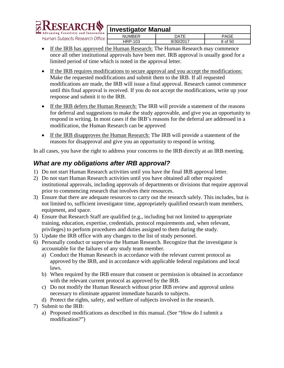

|  | Human Subjects Research Office |  |
|--|--------------------------------|--|

| 200/0017<br>$\sim$ |        |
|--------------------|--------|
| ◡◡<br>             | $\sim$ |

- If the IRB has approved the Human Research: The Human Research may commence once all other institutional approvals have been met. IRB approval is usually good for a limited period of time which is noted in the approval letter.
- If the IRB requires modifications to secure approval and you accept the modifications: Make the requested modifications and submit them to the IRB. If all requested modifications are made, the IRB will issue a final approval. Research cannot commence until this final approval is received. If you do not accept the modifications, write up your response and submit it to the IRB.
- If the IRB defers the Human Research: The IRB will provide a statement of the reasons for deferral and suggestions to make the study approvable, and give you an opportunity to respond in writing. In most cases if the IRB's reasons for the deferral are addressed in a modification, the Human Research can be approved
- If the IRB disapproves the Human Research: The IRB will provide a statement of the reasons for disapproval and give you an opportunity to respond in writing.

In all cases, you have the right to address your concerns to the IRB directly at an IRB meeting.

# <span id="page-7-0"></span>*What are my obligations after IRB approval?*

- 1) Do not start Human Research activities until you have the final IRB approval letter.
- 2) Do not start Human Research activities until you have obtained all other required institutional approvals, including approvals of departments or divisions that require approval prior to commencing research that involves their resources.
- 3) Ensure that there are adequate resources to carry out the research safely. This includes, but is not limited to, sufficient investigator time, appropriately qualified research team members, equipment, and space.
- 4) Ensure that Research Staff are qualified (e.g., including but not limited to appropriate training, education, expertise, credentials, protocol requirements and, when relevant, privileges) to perform procedures and duties assigned to them during the study.
- 5) Update the IRB office with any changes to the list of study personnel.
- 6) Personally conduct or supervise the Human Research. Recognize that the investigator is accountable for the failures of any study team member.
	- a) Conduct the Human Research in accordance with the relevant current protocol as approved by the IRB, and in accordance with applicable federal regulations and local laws.
	- b) When required by the IRB ensure that consent or permission is obtained in accordance with the relevant current protocol as approved by the IRB.
	- c) Do not modify the Human Research without prior IRB review and approval unless necessary to eliminate apparent immediate hazards to subjects.
	- d) Protect the rights, safety, and welfare of subjects involved in the research.
- 7) Submit to the IRB:
	- a) Proposed modifications as described in this manual. (See "How do I submit a modification?")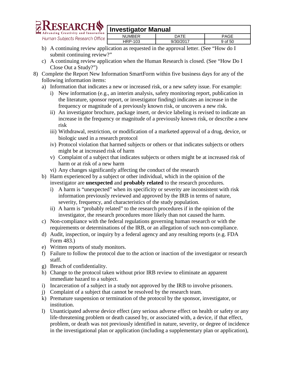| <b>RESEARCHS</b>               |  |
|--------------------------------|--|
| Human Subjects Research Office |  |
|                                |  |

| ng Creativity and Innovation | ---------<br>----------------- |           |         |
|------------------------------|--------------------------------|-----------|---------|
| Subjects Research Office     | <b>NUMBER</b>                  | ገATF      | PAGE    |
|                              | HRP-103                        | 9/30/2017 | 9 of 50 |
|                              |                                |           |         |

- b) A continuing review application as requested in the approval letter. (See "How do I submit continuing review?"
- c) A continuing review application when the Human Research is closed. (See "How Do I Close Out a Study?")
- 8) Complete the Report New Information SmartForm within five business days for any of the following information items:
	- a) Information that indicates a new or increased risk, or a new safety issue. For example:
		- i) New information (e.g., an interim analysis, safety monitoring report, publication in the literature, sponsor report, or investigator finding) indicates an increase in the frequency or magnitude of a previously known risk, or uncovers a new risk.
		- ii) An investigator brochure, package insert, or device labeling is revised to indicate an increase in the frequency or magnitude of a previously known risk, or describe a new risk
		- iii) Withdrawal, restriction, or modification of a marketed approval of a drug, device, or biologic used in a research protocol
		- iv) Protocol violation that harmed subjects or others or that indicates subjects or others might be at increased risk of harm
		- v) Complaint of a subject that indicates subjects or others might be at increased risk of harm or at risk of a new harm
		- vi) Any changes significantly affecting the conduct of the research
	- b) Harm experienced by a subject or other individual, which in the opinion of the investigator are **unexpected** and **probably related** to the research procedures.
		- i) A harm is "unexpected" when its specificity or severity are inconsistent with risk information previously reviewed and approved by the IRB in terms of nature, severity, frequency, and characteristics of the study population.
		- ii) A harm is "probably related" to the research procedures if in the opinion of the investigator, the research procedures more likely than not caused the harm.
	- c) Non-compliance with the federal regulations governing human research or with the requirements or determinations of the IRB, or an allegation of such non-compliance.
	- d) Audit, inspection, or inquiry by a federal agency and any resulting reports (e.g. FDA Form 483.)
	- e) Written reports of study monitors.
	- f) Failure to follow the protocol due to the action or inaction of the investigator or research staff.
	- g) Breach of confidentiality.
	- h) Change to the protocol taken without prior IRB review to eliminate an apparent immediate hazard to a subject.
	- i) Incarceration of a subject in a study not approved by the IRB to involve prisoners.
	- j) Complaint of a subject that cannot be resolved by the research team.
	- k) Premature suspension or termination of the protocol by the sponsor, investigator, or institution.
	- l) Unanticipated adverse device effect (any serious adverse effect on health or safety or any life-threatening problem or death caused by, or associated with, a device, if that effect, problem, or death was not previously identified in nature, severity, or degree of incidence in the investigational plan or application (including a supplementary plan or application),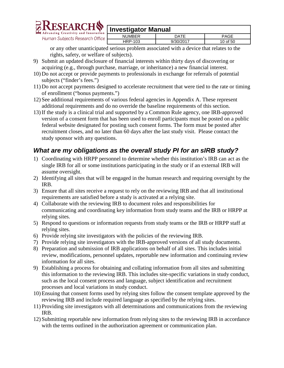| <b>ERESEARCHS</b>                   |                            |             |             |
|-------------------------------------|----------------------------|-------------|-------------|
| Advancing Creativity and Innovation | <b>Investigator Manual</b> |             |             |
| Human Subjects Research Office      | <b>NUMBER</b>              | <b>DATE</b> | <b>PAGE</b> |
|                                     | HRP-103                    | 9/30/2017   | 10 of 50    |

or any other unanticipated serious problem associated with a device that relates to the rights, safety, or welfare of subjects).

- 9) Submit an updated disclosure of financial interests within thirty days of discovering or acquiring (e.g., through purchase, marriage, or inheritance) a new financial interest.
- 10) Do not accept or provide payments to professionals in exchange for referrals of potential subjects ("finder's fees.")
- 11) Do not accept payments designed to accelerate recruitment that were tied to the rate or timing of enrollment ("bonus payments.")
- 12) See additional requirements of various federal agencies in Appendix A. These represent additional requirements and do no override the baseline requirements of this section.
- 13) If the study is a clinical trial and supported by a Common Rule agency, one IRB-approved version of a consent form that has been used to enroll participants must be posted on a public federal website designated for posting such consent forms. The form must be posted after recruitment closes, and no later than 60 days after the last study visit. Please contact the study sponsor with any questions.

# <span id="page-9-0"></span>*What are my obligations as the overall study PI for an sIRB study?*

- 1) Coordinating with HRPP personnel to determine whether this institution's IRB can act as the single IRB for all or some institutions participating in the study or if an external IRB will assume oversight.
- 2) Identifying all sites that will be engaged in the human research and requiring oversight by the IRB.
- 3) Ensure that all sites receive a request to rely on the reviewing IRB and that all institutional requirements are satisfied before a study is activated at a relying site.
- 4) Collaborate with the reviewing IRB to document roles and responsibilities for communicating and coordinating key information from study teams and the IRB or HRPP at relying sites.
- 5) Respond to questions or information requests from study teams or the IRB or HRPP staff at relying sites.
- 6) Provide relying site investigators with the policies of the reviewing IRB.
- 7) Provide relying site investigators with the IRB-approved versions of all study documents.
- 8) Preparation and submission of IRB applications on behalf of all sites. This includes initial review, modifications, personnel updates, reportable new information and continuing review information for all sites.
- 9) Establishing a process for obtaining and collating information from all sites and submitting this information to the reviewing IRB. This includes site-specific variations in study conduct, such as the local consent process and language, subject identification and recruitment processes and local variations in study conduct.
- 10) Ensuing that consent forms used by relying sites follow the consent template approved by the reviewing IRB and include required language as specified by the relying sites.
- 11) Providing site investigators with all determinations and communications from the reviewing IRB.
- 12) Submitting reportable new information from relying sites to the reviewing IRB in accordance with the terms outlined in the authorization agreement or communication plan.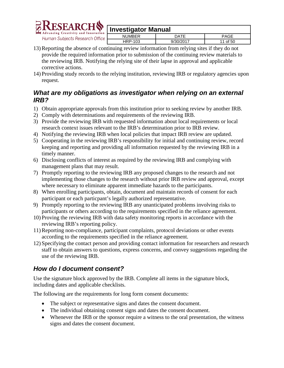

| vancing Creativity and Innovation |               |             |          |
|-----------------------------------|---------------|-------------|----------|
| uman Subiects Research Office     | <b>NUMBER</b> | <b>DATF</b> | PAGE     |
|                                   | HRP-103       | 9/30/2017   | 11 of 50 |

- 13) Reporting the absence of continuing review information from relying sites if they do not provide the required information prior to submission of the continuing review materials to the reviewing IRB. Notifying the relying site of their lapse in approval and applicable corrective actions.
- 14) Providing study records to the relying institution, reviewing IRB or regulatory agencies upon request.

### <span id="page-10-0"></span>*What are my obligations as investigator when relying on an external IRB?*

- 1) Obtain appropriate approvals from this institution prior to seeking review by another IRB.
- 2) Comply with determinations and requirements of the reviewing IRB.
- 3) Provide the reviewing IRB with requested information about local requirements or local research context issues relevant to the IRB's determination prior to IRB review.
- 4) Notifying the reviewing IRB when local policies that impact IRB review are updated.
- 5) Cooperating in the reviewing IRB's responsibility for initial and continuing review, record keeping and reporting and providing all information requested by the reviewing IRB in a timely manner.
- 6) Disclosing conflicts of interest as required by the reviewing IRB and complying with management plans that may result.
- 7) Promptly reporting to the reviewing IRB any proposed changes to the research and not implementing those changes to the research without prior IRB review and approval, except where necessary to eliminate apparent immediate hazards to the participants.
- 8) When enrolling participants, obtain, document and maintain records of consent for each participant or each particpant's legally authorized representative.
- 9) Promptly reporting to the reviewing IRB any unanticipated problems involving risks to participants or others according to the requirements specified in the reliance agreement.
- 10) Proving the reviewing IRB with data safety monitoring reports in accordance with the reviewing IRB's reporting policy.
- 11) Reporting non-compliance, participant complaints, protocol deviations or other events according to the requirements specified in the reliance agreement.
- 12) Specifying the contact person and providing contact information for researchers and research staff to obtain answers to questions, express concerns, and convey suggestions regarding the use of the reviewing IRB.

### <span id="page-10-1"></span>*How do I document consent?*

Use the signature block approved by the IRB. Complete all items in the signature block, including dates and applicable checklists.

The following are the requirements for long form consent documents:

- The subject or representative signs and dates the consent document.
- The individual obtaining consent signs and dates the consent document.
- Whenever the IRB or the sponsor require a witness to the oral presentation, the witness signs and dates the consent document.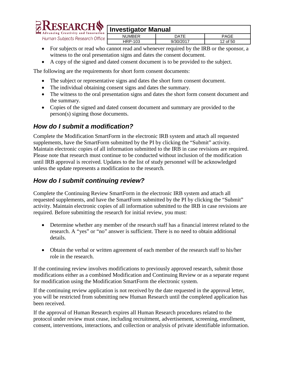

NUMBER DATE PAGE<br>
HRP-103 9/30/2017 12 of 50 Human Subjects Research Office

• For subjects or read who cannot read and whenever required by the IRB or the sponsor, a witness to the oral presentation signs and dates the consent document.

9/30/2017

• A copy of the signed and dated consent document is to be provided to the subject.

The following are the requirements for short form consent documents:

- The subject or representative signs and dates the short form consent document.
- The individual obtaining consent signs and dates the summary.
- The witness to the oral presentation signs and dates the short form consent document and the summary.
- Copies of the signed and dated consent document and summary are provided to the person(s) signing those documents.

## <span id="page-11-0"></span>*How do I submit a modification?*

Complete the Modification SmartForm in the electronic IRB system and attach all requested supplements, have the SmartForm submitted by the PI by clicking the "Submit" activity. Maintain electronic copies of all information submitted to the IRB in case revisions are required. Please note that research must continue to be conducted without inclusion of the modification until IRB approval is received. Updates to the list of study personnel will be acknowledged unless the update represents a modification to the research.

### <span id="page-11-1"></span>*How do I submit continuing review?*

Complete the Continuing Review SmartForm in the electronic IRB system and attach all requested supplements, and have the SmartForm submitted by the PI by clicking the "Submit" activity. Maintain electronic copies of all information submitted to the IRB in case revisions are required. Before submitting the research for initial review, you must:

- Determine whether any member of the research staff has a financial interest related to the research. A "yes" or "no" answer is sufficient. There is no need to obtain additional details.
- Obtain the verbal or written agreement of each member of the research staff to his/her role in the research.

If the continuing review involves modifications to previously approved research, submit those modifications either as a combined Modification and Continuing Review or as a separate request for modification using the Modification SmartForm the electronic system.

If the continuing review application is not received by the date requested in the approval letter, you will be restricted from submitting new Human Research until the completed application has been received.

If the approval of Human Research expires all Human Research procedures related to the protocol under review must cease, including recruitment, advertisement, screening, enrollment, consent, interventions, interactions, and collection or analysis of private identifiable information.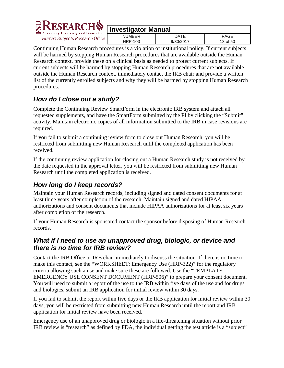

| novation                          |               |                          |          |
|-----------------------------------|---------------|--------------------------|----------|
| hΛ<br><i><u><b>Office</b></u></i> | <b>NUMBER</b> | ١Α                       | AGE      |
|                                   | HRP-103       | $9/30/201$ <sup>-7</sup> | 13 of 50 |

Continuing Human Research procedures is a violation of institutional policy. If current subjects will be harmed by stopping Human Research procedures that are available outside the Human Research context, provide these on a clinical basis as needed to protect current subjects. If current subjects will be harmed by stopping Human Research procedures that are not available outside the Human Research context, immediately contact the IRB chair and provide a written list of the currently enrolled subjects and why they will be harmed by stopping Human Research procedures.

# <span id="page-12-0"></span>*How do I close out a study?*

Complete the Continuing Review SmartForm in the electronic IRB system and attach all requested supplements, and have the SmartForm submitted by the PI by clicking the "Submit" activity. Maintain electronic copies of all information submitted to the IRB in case revisions are required.

If you fail to submit a continuing review form to close out Human Research, you will be restricted from submitting new Human Research until the completed application has been received.

If the continuing review application for closing out a Human Research study is not received by the date requested in the approval letter, you will be restricted from submitting new Human Research until the completed application is received.

### <span id="page-12-1"></span>*How long do I keep records?*

Maintain your Human Research records, including signed and dated consent documents for at least three years after completion of the research. Maintain signed and dated HIPAA authorizations and consent documents that include HIPAA authorizations for at least six years after completion of the research.

If your Human Research is sponsored contact the sponsor before disposing of Human Research records.

### *What if I need to use an unapproved drug, biologic, or device and there is no time for IRB review?*

Contact the IRB Office or IRB chair immediately to discuss the situation. If there is no time to make this contact, see the "WORKSHEET: Emergency Use (HRP-322)" for the regulatory criteria allowing such a use and make sure these are followed. Use the "TEMPLATE EMERGENCY USE CONSENT DOCUMENT (HRP-506)" to prepare your consent document. You will need to submit a report of the use to the IRB within five days of the use and for drugs and biologics, submit an IRB application for initial review within 30 days.

If you fail to submit the report within five days or the IRB application for initial review within 30 days, you will be restricted from submitting new Human Research until the report and IRB application for initial review have been received.

Emergency use of an unapproved drug or biologic in a life-threatening situation without prior IRB review is "research" as defined by FDA, the individual getting the test article is a "subject"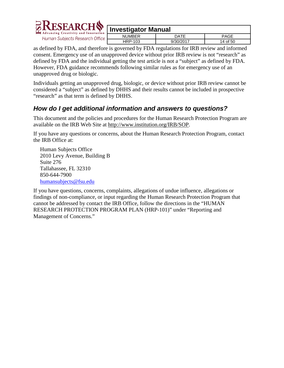

| <b>Experience international</b><br>vity and Innovation |         |           |          |
|--------------------------------------------------------|---------|-----------|----------|
| 's Research Office                                     | NUMBER  | ⊤ד∆נו     | PAGE     |
|                                                        | HRP-103 | 9/30/2017 | 14 of 50 |

as defined by FDA, and therefore is governed by FDA regulations for IRB review and informed consent. Emergency use of an unapproved device without prior IRB review is not "research" as defined by FDA and the individual getting the test article is not a "subject" as defined by FDA. However, FDA guidance recommends following similar rules as for emergency use of an unapproved drug or biologic.

Individuals getting an unapproved drug, biologic, or device without prior IRB review cannot be considered a "subject" as defined by DHHS and their results cannot be included in prospective "research" as that term is defined by DHHS.

### <span id="page-13-0"></span>*How do I get additional information and answers to questions?*

This document and the policies and procedures for the Human Research Protection Program are available on the IRB Web Site at [http://www.institution.org/IRB/SOP.](http://www.institution.org/IRB/SOP)

If you have any questions or concerns, about the Human Research Protection Program, contact the IRB Office at:

Human Subjects Office 2010 Levy Avenue, Building B Suite 276 Tallahassee, FL 32310 850-644-7900 [humansubjects@fsu.edu](mailto:humansubjects@fsu.edu)

If you have questions, concerns, complaints, allegations of undue influence, allegations or findings of non-compliance, or input regarding the Human Research Protection Program that cannot be addressed by contact the IRB Office, follow the directions in the "HUMAN RESEARCH PROTECTION PROGRAM PLAN (HRP-101)" under "Reporting and Management of Concerns."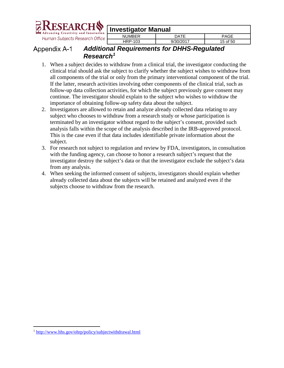

| ity and Innovation |               |             |          |  |
|--------------------|---------------|-------------|----------|--|
| s Research Office  | <b>NUMBER</b> | <b>JATF</b> | PAGE     |  |
|                    | HRP-103       | 9/30/2017   | 15 of 50 |  |

### <span id="page-14-0"></span>*Additional Requirements for DHHS-Regulated*  Appendix A-1 *Research[1](#page-14-1)*

- 1. When a subject decides to withdraw from a clinical trial, the investigator conducting the clinical trial should ask the subject to clarify whether the subject wishes to withdraw from all components of the trial or only from the primary interventional component of the trial. If the latter, research activities involving other components of the clinical trial, such as follow-up data collection activities, for which the subject previously gave consent may continue. The investigator should explain to the subject who wishes to withdraw the importance of obtaining follow-up safety data about the subject.
- 2. Investigators are allowed to retain and analyze already collected data relating to any subject who chooses to withdraw from a research study or whose participation is terminated by an investigator without regard to the subject's consent, provided such analysis falls within the scope of the analysis described in the IRB-approved protocol. This is the case even if that data includes identifiable private information about the subject.
- 3. For research not subject to regulation and review by FDA, investigators, in consultation with the funding agency, can choose to honor a research subject's request that the investigator destroy the subject's data or that the investigator exclude the subject's data from any analysis.
- 4. When seeking the informed consent of subjects, investigators should explain whether already collected data about the subjects will be retained and analyzed even if the subjects choose to withdraw from the research.

<span id="page-14-1"></span> <sup>1</sup> <http://www.hhs.gov/ohrp/policy/subjectwithdrawal.html>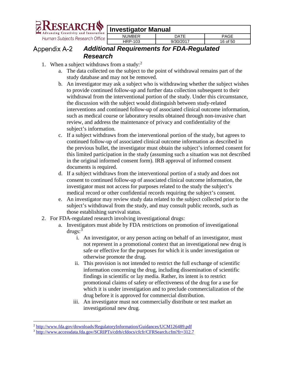

| Creativity and Innovation | $\cdots \cdots$ |           |          |
|---------------------------|-----------------|-----------|----------|
| Subjects Research Office  | <b>NUMBER</b>   | DATE      | PAGE     |
|                           | HRP-103         | 9/30/2017 | 16 of 50 |
|                           |                 |           |          |

### <span id="page-15-0"></span>*Additional Requirements for FDA-Regulated*  Appendix A-2 *Research*

- 1. When a subject withdraws from a study: $2^2$  $2^2$ 
	- a. The data collected on the subject to the point of withdrawal remains part of the study database and may not be removed.
	- b. An investigator may ask a subject who is withdrawing whether the subject wishes to provide continued follow-up and further data collection subsequent to their withdrawal from the interventional portion of the study. Under this circumstance, the discussion with the subject would distinguish between study-related interventions and continued follow-up of associated clinical outcome information, such as medical course or laboratory results obtained through non-invasive chart review, and address the maintenance of privacy and confidentiality of the subject's information.
	- c. If a subject withdraws from the interventional portion of the study, but agrees to continued follow-up of associated clinical outcome information as described in the previous bullet, the investigator must obtain the subject's informed consent for this limited participation in the study (assuming such a situation was not described in the original informed consent form). IRB approval of informed consent documents is required.
	- d. If a subject withdraws from the interventional portion of a study and does not consent to continued follow-up of associated clinical outcome information, the investigator must not access for purposes related to the study the subject's medical record or other confidential records requiring the subject's consent.
	- e. An investigator may review study data related to the subject collected prior to the subject's withdrawal from the study, and may consult public records, such as those establishing survival status.
- 2. For FDA-regulated research involving investigational drugs:
	- a. Investigators must abide by FDA restrictions on promotion of investigational  $drugs:3$  $drugs:3$ 
		- i. An investigator, or any person acting on behalf of an investigator, must not represent in a promotional context that an investigational new drug is safe or effective for the purposes for which it is under investigation or otherwise promote the drug.
		- ii. This provision is not intended to restrict the full exchange of scientific information concerning the drug, including dissemination of scientific findings in scientific or lay media. Rather, its intent is to restrict promotional claims of safety or effectiveness of the drug for a use for which it is under investigation and to preclude commercialization of the drug before it is approved for commercial distribution.
		- iii. An investigator must not commercially distribute or test market an investigational new drug.

<span id="page-15-1"></span> <sup>2</sup> <http://www.fda.gov/downloads/RegulatoryInformation/Guidances/UCM126489.pdf>

<span id="page-15-2"></span><sup>3</sup> <http://www.accessdata.fda.gov/SCRIPTs/cdrh/cfdocs/cfcfr/CFRSearch.cfm?fr=312.7>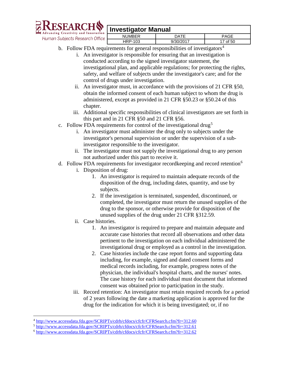

| g Creativity and Innovation | - -           |           |       |
|-----------------------------|---------------|-----------|-------|
| Subjects Research<br>Office | <b>NUMBER</b> | DATE      | PAGE  |
|                             | HRP-103       | 9/30/2017 | of 50 |

- b. Follow FDA requirements for general responsibilities of investigators<sup>[4](#page-16-0)</sup>
	- i. An investigator is responsible for ensuring that an investigation is conducted according to the signed investigator statement, the investigational plan, and applicable regulations; for protecting the rights, safety, and welfare of subjects under the investigator's care; and for the control of drugs under investigation.
	- ii. An investigator must, in accordance with the provisions of 21 CFR §50, obtain the informed consent of each human subject to whom the drug is administered, except as provided in 21 CFR §50.23 or §50.24 of this chapter.
	- iii. Additional specific responsibilities of clinical investigators are set forth in this part and in 21 CFR §50 and 21 CFR §56.
- c. Follow FDA requirements for control of the investigational drug<sup>[5](#page-16-1)</sup>
	- i. An investigator must administer the drug only to subjects under the investigator's personal supervision or under the supervision of a subinvestigator responsible to the investigator.
	- ii. The investigator must not supply the investigational drug to any person not authorized under this part to receive it.
- d. Follow FDA requirements for investigator record keeping and record retention<sup>[6](#page-16-2)</sup>
	- i. Disposition of drug:
		- 1. An investigator is required to maintain adequate records of the disposition of the drug, including dates, quantity, and use by subjects.
		- 2. If the investigation is terminated, suspended, discontinued, or completed, the investigator must return the unused supplies of the drug to the sponsor, or otherwise provide for disposition of the unused supplies of the drug under 21 CFR §312.59.
	- ii. Case histories.
		- 1. An investigator is required to prepare and maintain adequate and accurate case histories that record all observations and other data pertinent to the investigation on each individual administered the investigational drug or employed as a control in the investigation.
		- 2. Case histories include the case report forms and supporting data including, for example, signed and dated consent forms and medical records including, for example, progress notes of the physician, the individual's hospital charts, and the nurses' notes. The case history for each individual must document that informed consent was obtained prior to participation in the study.
	- iii. Record retention: An investigator must retain required records for a period of 2 years following the date a marketing application is approved for the drug for the indication for which it is being investigated; or, if no

 <sup>4</sup> <http://www.accessdata.fda.gov/SCRIPTs/cdrh/cfdocs/cfcfr/CFRSearch.cfm?fr=312.60>

<span id="page-16-1"></span><span id="page-16-0"></span><sup>5</sup> <http://www.accessdata.fda.gov/SCRIPTs/cdrh/cfdocs/cfcfr/CFRSearch.cfm?fr=312.61>

<span id="page-16-2"></span><sup>6</sup> <http://www.accessdata.fda.gov/SCRIPTs/cdrh/cfdocs/cfcfr/CFRSearch.cfm?fr=312.62>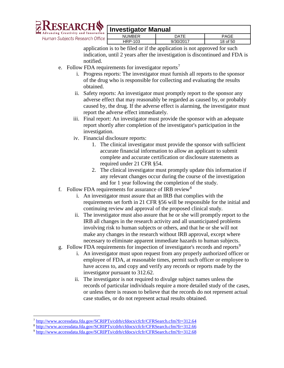

| nnovation |         |            |          |
|-----------|---------|------------|----------|
| ch Office | NUMBER  | <b>ATF</b> | PAGE     |
|           | HRP-103 | 9/30/2017  | 18 of 50 |

application is to be filed or if the application is not approved for such indication, until 2 years after the investigation is discontinued and FDA is notified.

- e. Follow FDA requirements for investigator reports<sup>[7](#page-17-0)</sup>
	- i. Progress reports: The investigator must furnish all reports to the sponsor of the drug who is responsible for collecting and evaluating the results obtained.
	- ii. Safety reports: An investigator must promptly report to the sponsor any adverse effect that may reasonably be regarded as caused by, or probably caused by, the drug. If the adverse effect is alarming, the investigator must report the adverse effect immediately.
	- iii. Final report: An investigator must provide the sponsor with an adequate report shortly after completion of the investigator's participation in the investigation.
	- iv. Financial disclosure reports:
		- 1. The clinical investigator must provide the sponsor with sufficient accurate financial information to allow an applicant to submit complete and accurate certification or disclosure statements as required under 21 CFR §54.
		- 2. The clinical investigator must promptly update this information if any relevant changes occur during the course of the investigation and for 1 year following the completion of the study.
- f. Follow FDA requirements for assurance of IRB review<sup>[8](#page-17-1)</sup>
	- i. An investigator must assure that an IRB that complies with the requirements set forth in 21 CFR §56 will be responsible for the initial and continuing review and approval of the proposed clinical study.
	- ii. The investigator must also assure that he or she will promptly report to the IRB all changes in the research activity and all unanticipated problems involving risk to human subjects or others, and that he or she will not make any changes in the research without IRB approval, except where necessary to eliminate apparent immediate hazards to human subjects.
- g. Follow FDA requirements for inspection of investigator's records and reports<sup>[9](#page-17-2)</sup>
	- i. An investigator must upon request from any properly authorized officer or employee of FDA, at reasonable times, permit such officer or employee to have access to, and copy and verify any records or reports made by the investigator pursuant to 312.62.
	- ii. The investigator is not required to divulge subject names unless the records of particular individuals require a more detailed study of the cases, or unless there is reason to believe that the records do not represent actual case studies, or do not represent actual results obtained.

 <sup>7</sup> <http://www.accessdata.fda.gov/SCRIPTs/cdrh/cfdocs/cfcfr/CFRSearch.cfm?fr=312.64>

<span id="page-17-1"></span><span id="page-17-0"></span><sup>8</sup> <http://www.accessdata.fda.gov/SCRIPTs/cdrh/cfdocs/cfcfr/CFRSearch.cfm?fr=312.66>

<span id="page-17-2"></span><sup>9</sup> <http://www.accessdata.fda.gov/SCRIPTs/cdrh/cfdocs/cfcfr/CFRSearch.cfm?fr=312.68>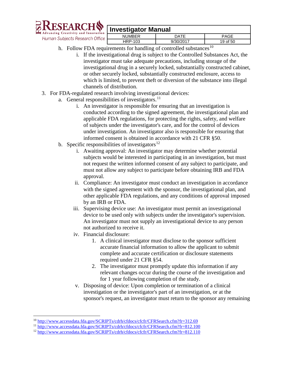

| ---------------------------------<br>and Innovation |               |           |          |
|-----------------------------------------------------|---------------|-----------|----------|
| Office<br>esearch                                   | <b>NUMBER</b> | DATF      | PAGE     |
|                                                     | HRP-103       | 9/30/2017 | 19 of 50 |

- h. Follow FDA requirements for handling of controlled substances<sup>[10](#page-18-0)</sup>
	- i. If the investigational drug is subject to the Controlled Substances Act, the investigator must take adequate precautions, including storage of the investigational drug in a securely locked, substantially constructed cabinet, or other securely locked, substantially constructed enclosure, access to which is limited, to prevent theft or diversion of the substance into illegal channels of distribution.
- 3. For FDA-regulated research involving investigational devices:
	- a. General responsibilities of investigators.<sup>[11](#page-18-1)</sup>
		- i. An investigator is responsible for ensuring that an investigation is conducted according to the signed agreement, the investigational plan and applicable FDA regulations, for protecting the rights, safety, and welfare of subjects under the investigator's care, and for the control of devices under investigation. An investigator also is responsible for ensuring that informed consent is obtained in accordance with 21 CFR §50.
	- b. Specific responsibilities of investigators<sup>[12](#page-18-2)</sup>
		- i. Awaiting approval: An investigator may determine whether potential subjects would be interested in participating in an investigation, but must not request the written informed consent of any subject to participate, and must not allow any subject to participate before obtaining IRB and FDA approval.
		- ii. Compliance: An investigator must conduct an investigation in accordance with the signed agreement with the sponsor, the investigational plan, and other applicable FDA regulations, and any conditions of approval imposed by an IRB or FDA.
		- iii. Supervising device use: An investigator must permit an investigational device to be used only with subjects under the investigator's supervision. An investigator must not supply an investigational device to any person not authorized to receive it.
		- iv. Financial disclosure:
			- 1. A clinical investigator must disclose to the sponsor sufficient accurate financial information to allow the applicant to submit complete and accurate certification or disclosure statements required under 21 CFR §54.
			- 2. The investigator must promptly update this information if any relevant changes occur during the course of the investigation and for 1 year following completion of the study.
		- v. Disposing of device: Upon completion or termination of a clinical investigation or the investigator's part of an investigation, or at the sponsor's request, an investigator must return to the sponsor any remaining

<span id="page-18-0"></span> <sup>10</sup> <http://www.accessdata.fda.gov/SCRIPTs/cdrh/cfdocs/cfcfr/CFRSearch.cfm?fr=312.69>

<sup>11</sup> <http://www.accessdata.fda.gov/SCRIPTs/cdrh/cfdocs/cfcfr/CFRSearch.cfm?fr=812.100>

<span id="page-18-2"></span><span id="page-18-1"></span><sup>12</sup> <http://www.accessdata.fda.gov/SCRIPTs/cdrh/cfdocs/cfcfr/CFRSearch.cfm?fr=812.110>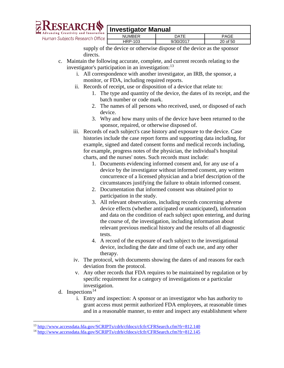| RESEARCHS                      | <b>Investigator Manual</b> |           |          |
|--------------------------------|----------------------------|-----------|----------|
| Human Subjects Research Office | <b>NUMBER</b>              | DATE      | PAGE     |
|                                | HRP-103                    | 9/30/2017 | 20 of 50 |

supply of the device or otherwise dispose of the device as the sponsor directs.

- c. Maintain the following accurate, complete, and current records relating to the investigator's participation in an investigation:  $13$ 
	- i. All correspondence with another investigator, an IRB, the sponsor, a monitor, or FDA, including required reports.
	- ii. Records of receipt, use or disposition of a device that relate to:
		- 1. The type and quantity of the device, the dates of its receipt, and the batch number or code mark.
		- 2. The names of all persons who received, used, or disposed of each device.
		- 3. Why and how many units of the device have been returned to the sponsor, repaired, or otherwise disposed of.
	- iii. Records of each subject's case history and exposure to the device. Case histories include the case report forms and supporting data including, for example, signed and dated consent forms and medical records including, for example, progress notes of the physician, the individual's hospital charts, and the nurses' notes. Such records must include:
		- 1. Documents evidencing informed consent and, for any use of a device by the investigator without informed consent, any written concurrence of a licensed physician and a brief description of the circumstances justifying the failure to obtain informed consent.
		- 2. Documentation that informed consent was obtained prior to participation in the study.
		- 3. All relevant observations, including records concerning adverse device effects (whether anticipated or unanticipated), information and data on the condition of each subject upon entering, and during the course of, the investigation, including information about relevant previous medical history and the results of all diagnostic tests.
		- 4. A record of the exposure of each subject to the investigational device, including the date and time of each use, and any other therapy.
	- iv. The protocol, with documents showing the dates of and reasons for each deviation from the protocol.
	- v. Any other records that FDA requires to be maintained by regulation or by specific requirement for a category of investigations or a particular investigation.
- d. Inspections<sup>[14](#page-19-1)</sup>
	- i. Entry and inspection: A sponsor or an investigator who has authority to grant access must permit authorized FDA employees, at reasonable times and in a reasonable manner, to enter and inspect any establishment where

<span id="page-19-0"></span> <sup>13</sup> <http://www.accessdata.fda.gov/SCRIPTs/cdrh/cfdocs/cfcfr/CFRSearch.cfm?fr=812.140>

<span id="page-19-1"></span><sup>&</sup>lt;sup>14</sup> <http://www.accessdata.fda.gov/SCRIPTs/cdrh/cfdocs/cfcfr/CFRSearch.cfm?fr=812.145>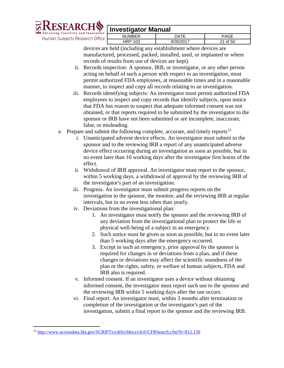

| vation        |               |              |          |
|---------------|---------------|--------------|----------|
| <b>Office</b> | <b>NUMBER</b> | )ATF         | PAGE     |
|               | HRP-103       | $9/30/201^-$ | 21 of 50 |

devices are held (including any establishment where devices are manufactured, processed, packed, installed, used, or implanted or where records of results from use of devices are kept).

- ii. Records inspection: A sponsor, IRB, or investigator, or any other person acting on behalf of such a person with respect to an investigation, must permit authorized FDA employees, at reasonable times and in a reasonable manner, to inspect and copy all records relating to an investigation.
- iii. Records identifying subjects: An investigator must permit authorized FDA employees to inspect and copy records that identify subjects, upon notice that FDA has reason to suspect that adequate informed consent was not obtained, or that reports required to be submitted by the investigator to the sponsor or IRB have not been submitted or are incomplete, inaccurate, false, or misleading.
- e. Prepare and submit the following complete, accurate, and timely reports<sup>[15](#page-20-0)</sup>
	- i. Unanticipated adverse device effects. An investigator must submit to the sponsor and to the reviewing IRB a report of any unanticipated adverse device effect occurring during an investigation as soon as possible, but in no event later than 10 working days after the investigator first learns of the effect.
	- ii. Withdrawal of IRB approval. An investigator must report to the sponsor, within 5 working days, a withdrawal of approval by the reviewing IRB of the investigator's part of an investigation.
	- iii. Progress. An investigator must submit progress reports on the investigation to the sponsor, the monitor, and the reviewing IRB at regular intervals, but in no event less often than yearly.
	- iv. Deviations from the investigational plan:
		- 1. An investigator must notify the sponsor and the reviewing IRB of any deviation from the investigational plan to protect the life or physical well-being of a subject in an emergency.
		- 2. Such notice must be given as soon as possible, but in no event later than 5 working days after the emergency occurred.
		- 3. Except in such an emergency, prior approval by the sponsor is required for changes in or deviations from a plan, and if these changes or deviations may affect the scientific soundness of the plan or the rights, safety, or welfare of human subjects, FDA and IRB also is required.
	- v. Informed consent. If an investigator uses a device without obtaining informed consent, the investigator must report such use to the sponsor and the reviewing IRB within 5 working days after the use occurs.
	- vi. Final report. An investigator must, within 3 months after termination or completion of the investigation or the investigator's part of the investigation, submit a final report to the sponsor and the reviewing IRB.

<span id="page-20-0"></span> <sup>15</sup> <http://www.accessdata.fda.gov/SCRIPTs/cdrh/cfdocs/cfcfr/CFRSearch.cfm?fr=812.150>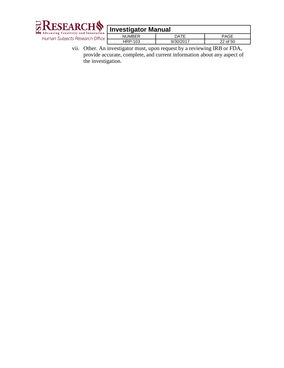

| <b>IIIVOOLIGALOI IIIAIILA</b><br>and Innovation |         |      |          |
|-------------------------------------------------|---------|------|----------|
| 'esearch<br>'ffice                              | NUMBER  | חATF | PAGE     |
|                                                 | HRP-103 |      | 22 of 50 |

vii. Other. An investigator must, upon request by a reviewing IRB or FDA, provide accurate, complete, and current information about any aspect of the investigation.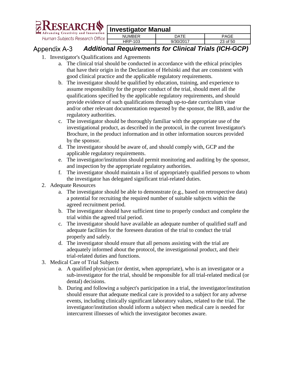

### <span id="page-22-0"></span>*Additional Requirements for Clinical Trials (ICH-GCP)* Appendix A-3

- 1. Investigator's Qualifications and Agreements
	- a. The clinical trial should be conducted in accordance with the ethical principles that have their origin in the Declaration of Helsinki and that are consistent with good clinical practice and the applicable regulatory requirements.
	- b. The investigator should be qualified by education, training, and experience to assume responsibility for the proper conduct of the trial, should meet all the qualifications specified by the applicable regulatory requirements, and should provide evidence of such qualifications through up-to-date curriculum vitae and/or other relevant documentation requested by the sponsor, the IRB, and/or the regulatory authorities.
	- c. The investigator should be thoroughly familiar with the appropriate use of the investigational product, as described in the protocol, in the current Investigator's Brochure, in the product information and in other information sources provided by the sponsor.
	- d. The investigator should be aware of, and should comply with, GCP and the applicable regulatory requirements.
	- e. The investigator/institution should permit monitoring and auditing by the sponsor, and inspection by the appropriate regulatory authorities.
	- f. The investigator should maintain a list of appropriately qualified persons to whom the investigator has delegated significant trial-related duties.
- 2. Adequate Resources
	- a. The investigator should be able to demonstrate (e.g., based on retrospective data) a potential for recruiting the required number of suitable subjects within the agreed recruitment period.
	- b. The investigator should have sufficient time to properly conduct and complete the trial within the agreed trial period.
	- c. The investigator should have available an adequate number of qualified staff and adequate facilities for the foreseen duration of the trial to conduct the trial properly and safely.
	- d. The investigator should ensure that all persons assisting with the trial are adequately informed about the protocol, the investigational product, and their trial-related duties and functions.
- 3. Medical Care of Trial Subjects
	- a. A qualified physician (or dentist, when appropriate), who is an investigator or a sub-investigator for the trial, should be responsible for all trial-related medical (or dental) decisions.
	- b. During and following a subject's participation in a trial, the investigator/institution should ensure that adequate medical care is provided to a subject for any adverse events, including clinically significant laboratory values, related to the trial. The investigator/institution should inform a subject when medical care is needed for intercurrent illnesses of which the investigator becomes aware.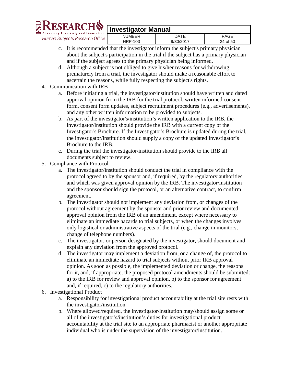

| and Innovation |                |           |          |
|----------------|----------------|-----------|----------|
| esearch Office | <b>NUMBER</b>  | DATF      | PAGE     |
|                | <b>HRP-103</b> | 9/30/2017 | 24 of 50 |

- c. It is recommended that the investigator inform the subject's primary physician about the subject's participation in the trial if the subject has a primary physician and if the subject agrees to the primary physician being informed.
- d. Although a subject is not obliged to give his/her reasons for withdrawing prematurely from a trial, the investigator should make a reasonable effort to ascertain the reasons, while fully respecting the subject's rights.
- 4. Communication with IRB
	- a. Before initiating a trial, the investigator/institution should have written and dated approval opinion from the IRB for the trial protocol, written informed consent form, consent form updates, subject recruitment procedures (e.g., advertisements), and any other written information to be provided to subjects.
	- b. As part of the investigator's/institution's written application to the IRB, the investigator/institution should provide the IRB with a current copy of the Investigator's Brochure. If the Investigator's Brochure is updated during the trial, the investigator/institution should supply a copy of the updated Investigator's Brochure to the IRB.
	- c. During the trial the investigator/institution should provide to the IRB all documents subject to review.
- 5. Compliance with Protocol
	- a. The investigator/institution should conduct the trial in compliance with the protocol agreed to by the sponsor and, if required, by the regulatory authorities and which was given approval opinion by the IRB. The investigator/institution and the sponsor should sign the protocol, or an alternative contract, to confirm agreement.
	- b. The investigator should not implement any deviation from, or changes of the protocol without agreement by the sponsor and prior review and documented approval opinion from the IRB of an amendment, except where necessary to eliminate an immediate hazards to trial subjects, or when the changes involves only logistical or administrative aspects of the trial (e.g., change in monitors, change of telephone numbers).
	- c. The investigator, or person designated by the investigator, should document and explain any deviation from the approved protocol.
	- d. The investigator may implement a deviation from, or a change of, the protocol to eliminate an immediate hazard to trial subjects without prior IRB approval opinion. As soon as possible, the implemented deviation or change, the reasons for it, and, if appropriate, the proposed protocol amendments should be submitted: a) to the IRB for review and approval opinion, b) to the sponsor for agreement and, if required, c) to the regulatory authorities.
- 6. Investigational Product
	- a. Responsibility for investigational product accountability at the trial site rests with the investigator/institution.
	- b. Where allowed/required, the investigator/institution may/should assign some or all of the investigator's/institution's duties for investigational product accountability at the trial site to an appropriate pharmacist or another appropriate individual who is under the supervision of the investigator/institution.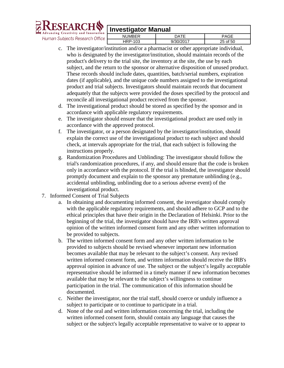

| and Innovation | --------      | ----------------- |          |  |
|----------------|---------------|-------------------|----------|--|
| esearch Office | <b>NUMBER</b> | DATE              | PAGE     |  |
|                | HRP-103       | 9/30/2017         | 25 of 50 |  |

- c. The investigator/institution and/or a pharmacist or other appropriate individual, who is designated by the investigator/institution, should maintain records of the product's delivery to the trial site, the inventory at the site, the use by each subject, and the return to the sponsor or alternative disposition of unused product. These records should include dates, quantities, batch/serial numbers, expiration dates (if applicable), and the unique code numbers assigned to the investigational product and trial subjects. Investigators should maintain records that document adequately that the subjects were provided the doses specified by the protocol and reconcile all investigational product received from the sponsor.
- d. The investigational product should be stored as specified by the sponsor and in accordance with applicable regulatory requirements.
- e. The investigator should ensure that the investigational product are used only in accordance with the approved protocol.
- f. The investigator, or a person designated by the investigator/institution, should explain the correct use of the investigational product to each subject and should check, at intervals appropriate for the trial, that each subject is following the instructions properly.
- g. Randomization Procedures and Unblinding: The investigator should follow the trial's randomization procedures, if any, and should ensure that the code is broken only in accordance with the protocol. If the trial is blinded, the investigator should promptly document and explain to the sponsor any premature unblinding (e.g., accidental unblinding, unblinding due to a serious adverse event) of the investigational product.
- 7. Informed Consent of Trial Subjects
	- a. In obtaining and documenting informed consent, the investigator should comply with the applicable regulatory requirements, and should adhere to GCP and to the ethical principles that have their origin in the Declaration of Helsinki. Prior to the beginning of the trial, the investigator should have the IRB's written approval opinion of the written informed consent form and any other written information to be provided to subjects.
	- b. The written informed consent form and any other written information to be provided to subjects should be revised whenever important new information becomes available that may be relevant to the subject's consent. Any revised written informed consent form, and written information should receive the IRB's approval opinion in advance of use. The subject or the subject's legally acceptable representative should be informed in a timely manner if new information becomes available that may be relevant to the subject's willingness to continue participation in the trial. The communication of this information should be documented.
	- c. Neither the investigator, nor the trial staff, should coerce or unduly influence a subject to participate or to continue to participate in a trial.
	- d. None of the oral and written information concerning the trial, including the written informed consent form, should contain any language that causes the subject or the subject's legally acceptable representative to waive or to appear to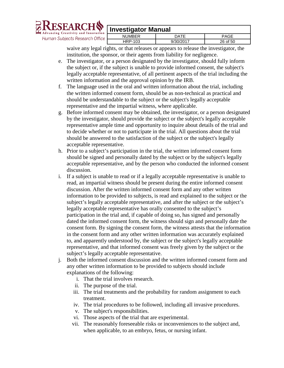

| nd Innovation    | $\sim$                     |           |          |
|------------------|----------------------------|-----------|----------|
| Office<br>search | NUMBER                     | DATF      | PAGE     |
|                  | -103<br>$.1$ RP- $1^\circ$ | 9/30/2017 | 26 of 50 |
| .                |                            |           | ___      |

waive any legal rights, or that releases or appears to release the investigator, the institution, the sponsor, or their agents from liability for negligence.

- e. The investigator, or a person designated by the investigator, should fully inform the subject or, if the subject is unable to provide informed consent, the subject's legally acceptable representative, of all pertinent aspects of the trial including the written information and the approval opinion by the IRB.
- f. The language used in the oral and written information about the trial, including the written informed consent form, should be as non-technical as practical and should be understandable to the subject or the subject's legally acceptable representative and the impartial witness, where applicable.
- g. Before informed consent may be obtained, the investigator, or a person designated by the investigator, should provide the subject or the subject's legally acceptable representative ample time and opportunity to inquire about details of the trial and to decide whether or not to participate in the trial. All questions about the trial should be answered to the satisfaction of the subject or the subject's legally acceptable representative.
- h. Prior to a subject's participation in the trial, the written informed consent form should be signed and personally dated by the subject or by the subject's legally acceptable representative, and by the person who conducted the informed consent discussion.
- i. If a subject is unable to read or if a legally acceptable representative is unable to read, an impartial witness should be present during the entire informed consent discussion. After the written informed consent form and any other written information to be provided to subjects, is read and explained to the subject or the subject's legally acceptable representative, and after the subject or the subject's legally acceptable representative has orally consented to the subject's participation in the trial and, if capable of doing so, has signed and personally dated the informed consent form, the witness should sign and personally date the consent form. By signing the consent form, the witness attests that the information in the consent form and any other written information was accurately explained to, and apparently understood by, the subject or the subject's legally acceptable representative, and that informed consent was freely given by the subject or the subject's legally acceptable representative.
- j. Both the informed consent discussion and the written informed consent form and any other written information to be provided to subjects should include explanations of the following:
	- i. That the trial involves research.
	- ii. The purpose of the trial.
	- iii. The trial treatments and the probability for random assignment to each treatment.
	- iv. The trial procedures to be followed, including all invasive procedures.
	- v. The subject's responsibilities.
	- vi. Those aspects of the trial that are experimental.
	- vii. The reasonably foreseeable risks or inconveniences to the subject and, when applicable, to an embryo, fetus, or nursing infant.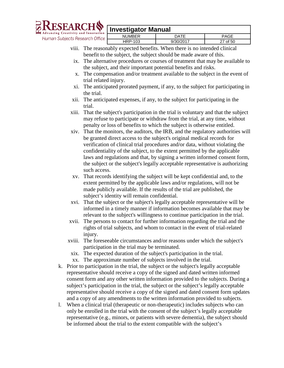

| reativity and Innovation | <b>ILIVUSHYALUI MAHAAL</b> |          |          |  |
|--------------------------|----------------------------|----------|----------|--|
| piects Research Office   | <b>NUMBER</b>              | DATE     | PAGE     |  |
|                          | HRP-103                    | 9/30/201 | 27 of 50 |  |

viii. The reasonably expected benefits. When there is no intended clinical benefit to the subject, the subject should be made aware of this.

- ix. The alternative procedures or courses of treatment that may be available to the subject, and their important potential benefits and risks.
- x. The compensation and/or treatment available to the subject in the event of trial related injury.
- xi. The anticipated prorated payment, if any, to the subject for participating in the trial.
- xii. The anticipated expenses, if any, to the subject for participating in the trial.
- xiii. That the subject's participation in the trial is voluntary and that the subject may refuse to participate or withdraw from the trial, at any time, without penalty or loss of benefits to which the subject is otherwise entitled.
- xiv. That the monitors, the auditors, the IRB, and the regulatory authorities will be granted direct access to the subject's original medical records for verification of clinical trial procedures and/or data, without violating the confidentiality of the subject, to the extent permitted by the applicable laws and regulations and that, by signing a written informed consent form, the subject or the subject's legally acceptable representative is authorizing such access.
- xv. That records identifying the subject will be kept confidential and, to the extent permitted by the applicable laws and/or regulations, will not be made publicly available. If the results of the trial are published, the subject's identity will remain confidential.
- xvi. That the subject or the subject's legally acceptable representative will be informed in a timely manner if information becomes available that may be relevant to the subject's willingness to continue participation in the trial.
- xvii. The persons to contact for further information regarding the trial and the rights of trial subjects, and whom to contact in the event of trial-related injury.
- xviii. The foreseeable circumstances and/or reasons under which the subject's participation in the trial may be terminated.
- xix. The expected duration of the subject's participation in the trial.
- xx. The approximate number of subjects involved in the trial.
- k. Prior to participation in the trial, the subject or the subject's legally acceptable representative should receive a copy of the signed and dated written informed consent form and any other written information provided to the subjects. During a subject's participation in the trial, the subject or the subject's legally acceptable representative should receive a copy of the signed and dated consent form updates and a copy of any amendments to the written information provided to subjects.
- l. When a clinical trial (therapeutic or non-therapeutic) includes subjects who can only be enrolled in the trial with the consent of the subject's legally acceptable representative (e.g., minors, or patients with severe dementia), the subject should be informed about the trial to the extent compatible with the subject's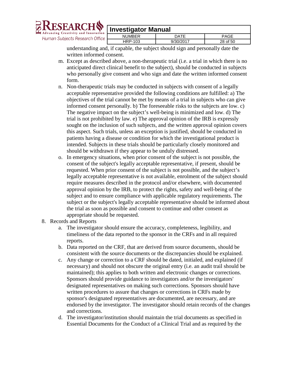| RESEARCHS                      | <b>Investigator Manual</b> |           |             |
|--------------------------------|----------------------------|-----------|-------------|
| Human Subjects Research Office | <b>NUMBER</b>              | DATE      | <b>PAGE</b> |
|                                | <b>HRP-103</b>             | 9/30/2017 | 28 of 50    |

understanding and, if capable, the subject should sign and personally date the written informed consent.

- m. Except as described above, a non-therapeutic trial (i.e. a trial in which there is no anticipated direct clinical benefit to the subject), should be conducted in subjects who personally give consent and who sign and date the written informed consent form.
- n. Non-therapeutic trials may be conducted in subjects with consent of a legally acceptable representative provided the following conditions are fulfilled: a) The objectives of the trial cannot be met by means of a trial in subjects who can give informed consent personally. b) The foreseeable risks to the subjects are low. c) The negative impact on the subject's well-being is minimized and low. d) The trial is not prohibited by law. e) The approval opinion of the IRB is expressly sought on the inclusion of such subjects, and the written approval opinion covers this aspect. Such trials, unless an exception is justified, should be conducted in patients having a disease or condition for which the investigational product is intended. Subjects in these trials should be particularly closely monitored and should be withdrawn if they appear to be unduly distressed.
- o. In emergency situations, when prior consent of the subject is not possible, the consent of the subject's legally acceptable representative, if present, should be requested. When prior consent of the subject is not possible, and the subject's legally acceptable representative is not available, enrolment of the subject should require measures described in the protocol and/or elsewhere, with documented approval opinion by the IRB, to protect the rights, safety and well-being of the subject and to ensure compliance with applicable regulatory requirements. The subject or the subject's legally acceptable representative should be informed about the trial as soon as possible and consent to continue and other consent as appropriate should be requested.
- 8. Records and Reports
	- a. The investigator should ensure the accuracy, completeness, legibility, and timeliness of the data reported to the sponsor in the CRFs and in all required reports.
	- b. Data reported on the CRF, that are derived from source documents, should be consistent with the source documents or the discrepancies should be explained.
	- c. Any change or correction to a CRF should be dated, initialed, and explained (if necessary) and should not obscure the original entry (i.e. an audit trail should be maintained); this applies to both written and electronic changes or corrections. Sponsors should provide guidance to investigators and/or the investigators' designated representatives on making such corrections. Sponsors should have written procedures to assure that changes or corrections in CRFs made by sponsor's designated representatives are documented, are necessary, and are endorsed by the investigator. The investigator should retain records of the changes and corrections.
	- d. The investigator/institution should maintain the trial documents as specified in Essential Documents for the Conduct of a Clinical Trial and as required by the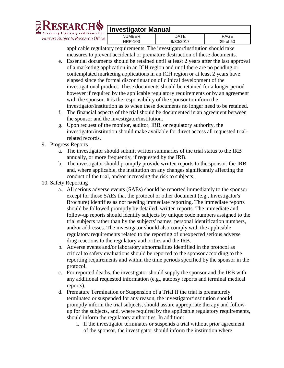

applicable regulatory requirements. The investigator/institution should take measures to prevent accidental or premature destruction of these documents.

- e. Essential documents should be retained until at least 2 years after the last approval of a marketing application in an ICH region and until there are no pending or contemplated marketing applications in an ICH region or at least 2 years have elapsed since the formal discontinuation of clinical development of the investigational product. These documents should be retained for a longer period however if required by the applicable regulatory requirements or by an agreement with the sponsor. It is the responsibility of the sponsor to inform the investigator/institution as to when these documents no longer need to be retained.
- f. The financial aspects of the trial should be documented in an agreement between the sponsor and the investigator/institution.
- g. Upon request of the monitor, auditor, IRB, or regulatory authority, the investigator/institution should make available for direct access all requested trialrelated records.
- 9. Progress Reports
	- a. The investigator should submit written summaries of the trial status to the IRB annually, or more frequently, if requested by the IRB.
	- b. The investigator should promptly provide written reports to the sponsor, the IRB and, where applicable, the institution on any changes significantly affecting the conduct of the trial, and/or increasing the risk to subjects.
- 10. Safety Reporting
	- a. All serious adverse events (SAEs) should be reported immediately to the sponsor except for those SAEs that the protocol or other document (e.g., Investigator's Brochure) identifies as not needing immediate reporting. The immediate reports should be followed promptly by detailed, written reports. The immediate and follow-up reports should identify subjects by unique code numbers assigned to the trial subjects rather than by the subjects' names, personal identification numbers, and/or addresses. The investigator should also comply with the applicable regulatory requirements related to the reporting of unexpected serious adverse drug reactions to the regulatory authorities and the IRB.
	- b. Adverse events and/or laboratory abnormalities identified in the protocol as critical to safety evaluations should be reported to the sponsor according to the reporting requirements and within the time periods specified by the sponsor in the protocol.
	- c. For reported deaths, the investigator should supply the sponsor and the IRB with any additional requested information (e.g., autopsy reports and terminal medical reports).
	- d. Premature Termination or Suspension of a Trial If the trial is prematurely terminated or suspended for any reason, the investigator/institution should promptly inform the trial subjects, should assure appropriate therapy and followup for the subjects, and, where required by the applicable regulatory requirements, should inform the regulatory authorities. In addition:
		- i. If the investigator terminates or suspends a trial without prior agreement of the sponsor, the investigator should inform the institution where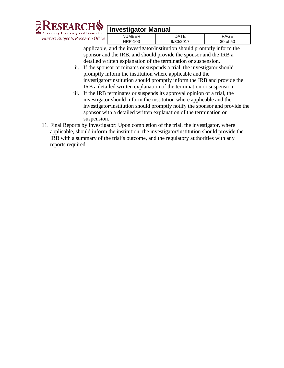

| ovation |               |           |          |
|---------|---------------|-----------|----------|
| Office  | <b>NUMBER</b> | ATF،      | PAGE     |
|         | HRP-103       | 9/30/2017 | 30 of 50 |

applicable, and the investigator/institution should promptly inform the sponsor and the IRB, and should provide the sponsor and the IRB a detailed written explanation of the termination or suspension.

- ii. If the sponsor terminates or suspends a trial, the investigator should promptly inform the institution where applicable and the investigator/institution should promptly inform the IRB and provide the IRB a detailed written explanation of the termination or suspension.
- iii. If the IRB terminates or suspends its approval opinion of a trial, the investigator should inform the institution where applicable and the investigator/institution should promptly notify the sponsor and provide the sponsor with a detailed written explanation of the termination or suspension.
- 11. Final Reports by Investigator: Upon completion of the trial, the investigator, where applicable, should inform the institution; the investigator/institution should provide the IRB with a summary of the trial's outcome, and the regulatory authorities with any reports required.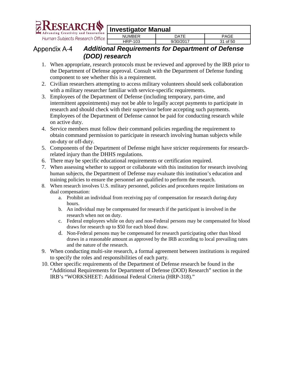

| and Innovation. |               |           |          |  |
|-----------------|---------------|-----------|----------|--|
| esearch Office? | <b>NUMBER</b> | DATE      | PAGE     |  |
|                 | HRP-103       | 9/30/2017 | 31 of 50 |  |

### <span id="page-30-0"></span>*Additional Requirements for Department of Defense*  Appendix A-4 *(DOD) research*

- 1. When appropriate, research protocols must be reviewed and approved by the IRB prior to the Department of Defense approval. Consult with the Department of Defense funding component to see whether this is a requirement.
- 2. Civilian researchers attempting to access military volunteers should seek collaboration with a military researcher familiar with service-specific requirements.
- 3. Employees of the Department of Defense (including temporary, part-time, and intermittent appointments) may not be able to legally accept payments to participate in research and should check with their supervisor before accepting such payments. Employees of the Department of Defense cannot be paid for conducting research while on active duty.
- 4. Service members must follow their command policies regarding the requirement to obtain command permission to participate in research involving human subjects while on-duty or off-duty.
- 5. Components of the Department of Defense might have stricter requirements for researchrelated injury than the DHHS regulations.
- 6. There may be specific educational requirements or certification required.
- 7. When assessing whether to support or collaborate with this institution for research involving human subjects, the Department of Defense may evaluate this institution's education and training policies to ensure the personnel are qualified to perform the research.
- 8. When research involves U.S. military personnel, policies and procedures require limitations on dual compensation:
	- a. Prohibit an individual from receiving pay of compensation for research during duty hours.
	- b. An individual may be compensated for research if the participant is involved in the research when not on duty.
	- c. Federal employees while on duty and non-Federal persons may be compensated for blood draws for research up to \$50 for each blood draw.
	- d. Non-Federal persons may be compensated for research participating other than blood draws in a reasonable amount as approved by the IRB according to local prevailing rates and the nature of the research.
- 9. When conducting multi-site research, a formal agreement between institutions is required to specify the roles and responsibilities of each party.
- 10. Other specific requirements of the Department of Defense research be found in the "Additional Requirements for Department of Defense (DOD) Research" section in the IRB's "WORKSHEET: Additional Federal Criteria (HRP-318)."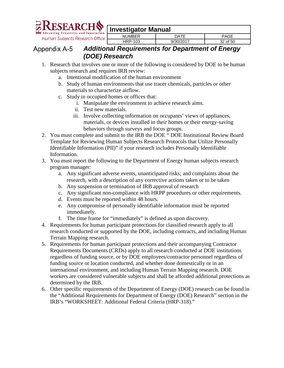

| reativity and Innovation. |                |           |          |  |
|---------------------------|----------------|-----------|----------|--|
| bjects Research Office    | <b>NUMBER</b>  | JATF      | PAGE     |  |
|                           | <b>HRP-103</b> | 9/30/2017 | 32 of 50 |  |

### <span id="page-31-0"></span>*Additional Requirements for Department of Energy*  Appendix A-5 *(DOE) Research*

- 1. Research that involves one or more of the following is considered by DOE to be human subjects research and requires IRB review:
	- a. Intentional modification of the human environment
	- b. Study of human environments that use tracer chemicals, particles or other materials to characterize airflow.
	- c. Study in occupied homes or offices that:
		- i. Manipulate the environment to achieve research aims.
		- ii. Test new materials.
		- iii. Involve collecting information on occupants' views of appliances, materials, or devices installed in their homes or their energy-saving behaviors through surveys and focus groups.
- 2. You must complete and submit to the IRB the DOE " DOE Institutional Review Board Template for Reviewing Human Subjects Research Protocols that Utilize Personally Identifiable Information (PII)" if your research includes Personally Identifiable Information.
- 3. You must report the following to the Department of Energy human subjects research program manager:
	- a. Any significant adverse events, unanticipated risks; and complaints about the research, with a description of any corrective actions taken or to be taken
	- b. Any suspension or termination of IRB approval of research
	- c. Any significant non-compliance with HRPP procedures or other requirements.
	- d. Events must be reported within 48 hours.
	- e. Any compromise of personally identifiable information must be reported immediately.
	- f. The time frame for "immediately" is defined as upon discovery.
- 4. Requirements for human participant protections for classified research apply to all research conducted or supported by the DOE, including contracts, and including Human Terrain Mapping research.
- 5. Requirements for human participant protections and their accompanying Contractor Requirements Documents (CRDs) apply to all research conducted at DOE institutions regardless of funding source, or by DOE employees/contractor personnel regardless of funding source or location conducted, and whether done domestically or in an international environment, and including Human Terrain Mapping research. DOE workers are considered vulnerable subjects and shall be afforded additional protections as determined by the IRB.
- 6. Other specific requirements of the Department of Energy (DOE) research can be found in the "Additional Requirements for Department of Energy (DOE) Research" section in the IRB's "WORKSHEET: Additional Federal Criteria (HRP-318)."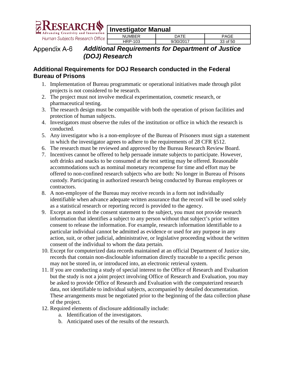

| ancing Creativity and Innovation | .             |           |          |  |
|----------------------------------|---------------|-----------|----------|--|
| nan Subjects Research Office     | <b>NUMBER</b> | ጋATE      | PAGE     |  |
|                                  | HRP-103       | 9/30/2017 | 33 of 50 |  |
|                                  |               |           |          |  |

<span id="page-32-0"></span>Appendix A-6 *Additional Requirements for Department of Justice (DOJ) Research*

### <span id="page-32-1"></span>**Additional Requirements for DOJ Research conducted in the Federal Bureau of Prisons**

- 1. Implementation of Bureau programmatic or operational initiatives made through pilot projects is not considered to be research.
- 2. The project must not involve medical experimentation, cosmetic research, or pharmaceutical testing.
- 3. The research design must be compatible with both the operation of prison facilities and protection of human subjects.
- 4. Investigators must observe the rules of the institution or office in which the research is conducted.
- 5. Any investigator who is a non-employee of the Bureau of Prisoners must sign a statement in which the investigator agrees to adhere to the requirements of 28 CFR §512.
- 6. The research must be reviewed and approved by the Bureau Research Review Board.
- 7. Incentives cannot be offered to help persuade inmate subjects to participate. However, soft drinks and snacks to be consumed at the test setting may be offered. Reasonable accommodations such as nominal monetary recompense for time and effort may be offered to non-confined research subjects who are both: No longer in Bureau of Prisons custody. Participating in authorized research being conducted by Bureau employees or contractors.
- 8. A non-employee of the Bureau may receive records in a form not individually identifiable when advance adequate written assurance that the record will be used solely as a statistical research or reporting record is provided to the agency.
- 9. Except as noted in the consent statement to the subject, you must not provide research information that identifies a subject to any person without that subject's prior written consent to release the information. For example, research information identifiable to a particular individual cannot be admitted as evidence or used for any purpose in any action, suit, or other judicial, administrative, or legislative proceeding without the written consent of the individual to whom the data pertain.
- 10. Except for computerized data records maintained at an official Department of Justice site, records that contain non-disclosable information directly traceable to a specific person may not be stored in, or introduced into, an electronic retrieval system.
- 11. If you are conducting a study of special interest to the Office of Research and Evaluation but the study is not a joint project involving Office of Research and Evaluation, you may be asked to provide Office of Research and Evaluation with the computerized research data, not identifiable to individual subjects, accompanied by detailed documentation. These arrangements must be negotiated prior to the beginning of the data collection phase of the project.
- 12. Required elements of disclosure additionally include:
	- a. Identification of the investigators.
	- b. Anticipated uses of the results of the research.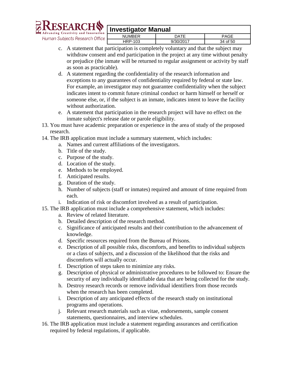

| ativity and Innovation: | 11112221974221111411441 |          |          |  |
|-------------------------|-------------------------|----------|----------|--|
| ects Research Office    | NUMBER                  | DATE     | PAGE     |  |
|                         | HRP-103                 | 9/30/201 | 34 of 50 |  |

- c. A statement that participation is completely voluntary and that the subject may withdraw consent and end participation in the project at any time without penalty or prejudice (the inmate will be returned to regular assignment or activity by staff as soon as practicable).
- d. A statement regarding the confidentiality of the research information and exceptions to any guarantees of confidentiality required by federal or state law. For example, an investigator may not guarantee confidentiality when the subject indicates intent to commit future criminal conduct or harm himself or herself or someone else, or, if the subject is an inmate, indicates intent to leave the facility without authorization.
- e. A statement that participation in the research project will have no effect on the inmate subject's release date or parole eligibility.
- 13. You must have academic preparation or experience in the area of study of the proposed research.
- 14. The IRB application must include a summary statement, which includes:
	- a. Names and current affiliations of the investigators.
	- b. Title of the study.
	- c. Purpose of the study.
	- d. Location of the study.
	- e. Methods to be employed.
	- f. Anticipated results.
	- g. Duration of the study.
	- h. Number of subjects (staff or inmates) required and amount of time required from each.
	- i. Indication of risk or discomfort involved as a result of participation.
- 15. The IRB application must include a comprehensive statement, which includes:
	- a. Review of related literature.
	- b. Detailed description of the research method.
	- c. Significance of anticipated results and their contribution to the advancement of knowledge.
	- d. Specific resources required from the Bureau of Prisons.
	- e. Description of all possible risks, discomforts, and benefits to individual subjects or a class of subjects, and a discussion of the likelihood that the risks and discomforts will actually occur.
	- f. Description of steps taken to minimize any risks.
	- g. Description of physical or administrative procedures to be followed to: Ensure the security of any individually identifiable data that are being collected for the study.
	- h. Destroy research records or remove individual identifiers from those records when the research has been completed.
	- i. Description of any anticipated effects of the research study on institutional programs and operations.
	- j. Relevant research materials such as vitae, endorsements, sample consent statements, questionnaires, and interview schedules.
- 16. The IRB application must include a statement regarding assurances and certification required by federal regulations, if applicable.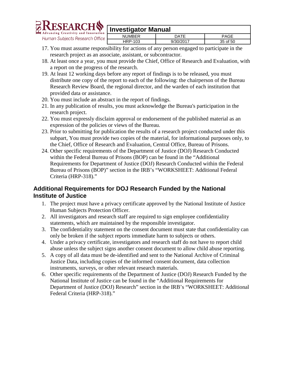

| rancing Creativity and Innovation . | - - - - - - - - |                         |          |
|-------------------------------------|-----------------|-------------------------|----------|
| man Subjects Research Office        | <b>NUMBER</b>   | DATE                    | PAGE     |
|                                     | HRP-103         | $9/30/201$ <sup>-</sup> | 35 of 50 |

- 17. You must assume responsibility for actions of any person engaged to participate in the research project as an associate, assistant, or subcontractor.
- 18. At least once a year, you must provide the Chief, Office of Research and Evaluation, with a report on the progress of the research.
- 19. At least 12 working days before any report of findings is to be released, you must distribute one copy of the report to each of the following: the chairperson of the Bureau Research Review Board, the regional director, and the warden of each institution that provided data or assistance.
- 20. You must include an abstract in the report of findings.
- 21. In any publication of results, you must acknowledge the Bureau's participation in the research project.
- 22. You must expressly disclaim approval or endorsement of the published material as an expression of the policies or views of the Bureau.
- 23. Prior to submitting for publication the results of a research project conducted under this subpart, You must provide two copies of the material, for informational purposes only, to the Chief, Office of Research and Evaluation, Central Office, Bureau of Prisons.
- 24. Other specific requirements of the Department of Justice (DOJ) Research Conducted within the Federal Bureau of Prisons (BOP) can be found in the "Additional Requirements for Department of Justice (DOJ) Research Conducted within the Federal Bureau of Prisons (BOP)" section in the IRB's "WORKSHEET: Additional Federal Criteria (HRP-318)."

### <span id="page-34-0"></span>**Additional Requirements for DOJ Research Funded by the National Institute of Justice**

- 1. The project must have a privacy certificate approved by the National Institute of Justice Human Subjects Protection Officer.
- 2. All investigators and research staff are required to sign employee confidentiality statements, which are maintained by the responsible investigator.
- 3. The confidentiality statement on the consent document must state that confidentiality can only be broken if the subject reports immediate harm to subjects or others.
- 4. Under a privacy certificate, investigators and research staff do not have to report child abuse unless the subject signs another consent document to allow child abuse reporting.
- 5. A copy of all data must be de-identified and sent to the National Archive of Criminal Justice Data, including copies of the informed consent document, data collection instruments, surveys, or other relevant research materials.
- 6. Other specific requirements of the Department of Justice (DOJ) Research Funded by the National Institute of Justice can be found in the "Additional Requirements for Department of Justice (DOJ) Research" section in the IRB's "WORKSHEET: Additional Federal Criteria (HRP-318)."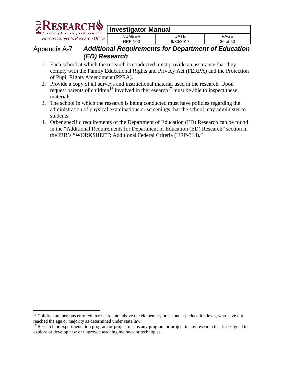

| ty and Innovation         | - - - - - - -<br>__<br>_____ |             |          |
|---------------------------|------------------------------|-------------|----------|
| <i>nffice</i><br>Research | <b>NUMBER</b>                | <b>JATF</b> | 'AGE     |
|                           | HRP-103                      | 9/30/2017   | 36 of 50 |

### <span id="page-35-0"></span>*Additional Requirements for Department of Education*  Appendix A-7 *(ED) Research*

- 1. Each school at which the research is conducted must provide an assurance that they comply with the Family Educational Rights and Privacy Act (FERPA) and the Protection of Pupil Rights Amendment (PPRA).
- 2. Provide a copy of all surveys and instructional material used in the research. Upon request parents of children<sup>[16](#page-35-1)</sup> involved in the research<sup>[17](#page-35-2)</sup> must be able to inspect these materials.
- 3. The school in which the research is being conducted must have policies regarding the administration of physical examinations or screenings that the school may administer to students.
- 4. Other specific requirements of the Department of Education (ED) Research can be found in the "Additional Requirements for Department of Education (ED) Research" section in the IRB's "WORKSHEET: Additional Federal Criteria (HRP-318)."

<span id="page-35-1"></span><sup>&</sup>lt;sup>16</sup> Children are persons enrolled in research not above the elementary or secondary education level, who have not reached the age or majority as determined under state law.

<span id="page-35-2"></span><sup>&</sup>lt;sup>17</sup> Research or experimentation program or project means any program or project in any research that is designed to explore or develop new or unproven teaching methods or techniques.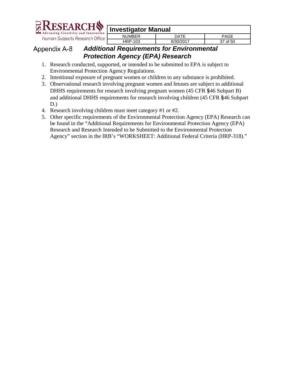

| Creativity and Innovation | - - - - - -   |           |             |  |
|---------------------------|---------------|-----------|-------------|--|
| ubjects Research Office   | <b>NUMBER</b> | DATE      | <b>PAGE</b> |  |
|                           | HRP-103       | 9/30/2017 | 37 of 50    |  |

### <span id="page-36-0"></span>*Additional Requirements for Environmental*  Appendix A-8 *Protection Agency (EPA) Research*

- 1. Research conducted, supported, or intended to be submitted to EPA is subject to Environmental Protection Agency Regulations.
- 2. Intentional exposure of pregnant women or children to any substance is prohibited.
- 3. Observational research involving pregnant women and fetuses are subject to additional DHHS requirements for research involving pregnant women (45 CFR **§**46 Subpart B) and additional DHHS requirements for research involving children (45 CFR **§**46 Subpart  $D.$ )
- 4. Research involving children must meet category #1 or #2.
- 5. Other specific requirements of the Environmental Protection Agency (EPA) Research can be found in the "Additional Requirements for Environmental Protection Agency (EPA) Research and Research Intended to be Submitted to the Environmental Protection Agency" section in the IRB's "WORKSHEET: Additional Federal Criteria (HRP-318)."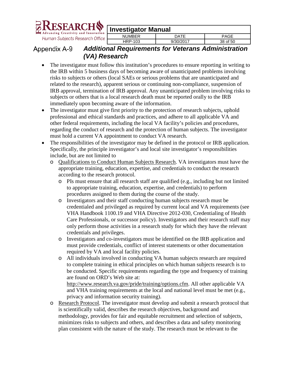

| ation  |               |           |          |  |  |
|--------|---------------|-----------|----------|--|--|
| )ffice | <b>NUMBER</b> | A T F     | ንAGF     |  |  |
|        | HRP-103       | 9/30/2017 | 38 of 50 |  |  |

### <span id="page-37-0"></span>*Additional Requirements for Veterans Administration*  Appendix A-9 *(VA) Research*

- The investigator must follow this institution's procedures to ensure reporting in writing to the IRB within 5 business days of becoming aware of unanticipated problems involving risks to subjects or others (local SAEs or serious problems that are unanticipated and related to the research), apparent serious or continuing non-compliance, suspension of IRB approval, termination of IRB approval. Any unanticipated problem involving risks to subjects or others that is a local research death must be reported orally to the IRB immediately upon becoming aware of the information.
- The investigator must give first priority to the protection of research subjects, uphold professional and ethical standards and practices, and adhere to all applicable VA and other federal requirements, including the local VA facility's policies and procedures, regarding the conduct of research and the protection of human subjects. The investigator must hold a current VA appointment to conduct VA research.
- The responsibilities of the investigator may be defined in the protocol or IRB application. Specifically, the principle investigator's and local site investigator's responsibilities include, but are not limited to
	- o Qualifications to Conduct Human Subjects Research. VA investigators must have the appropriate training, education, expertise, and credentials to conduct the research according to the research protocol.
		- o PIs must ensure that all research staff are qualified (e.g., including but not limited to appropriate training, education, expertise, and credentials) to perform procedures assigned to them during the course of the study.
		- o Investigators and their staff conducting human subjects research must be credentialed and privileged as required by current local and VA requirements (see VHA Handbook 1100.19 and VHA Directive 2012-030, Credentialing of Health Care Professionals, or successor policy). Investigators and their research staff may only perform those activities in a research study for which they have the relevant credentials and privileges.
		- o Investigators and co-investigators must be identified on the IRB application and must provide credentials, conflict of interest statements or other documentation required by VA and local facility policies.
		- o All individuals involved in conducting VA human subjects research are required to complete training in ethical principles on which human subjects research is to be conducted. Specific requirements regarding the type and frequency of training are found on ORD's Web site at: [http://www.research.va.gov/pride/training/options.cfm.](http://www.research.va.gov/pride/training/options.cfm) All other applicable VA

and VHA training requirements at the local and national level must be met (e.g., privacy and information security training).

o Research Protocol. The investigator must develop and submit a research protocol that is scientifically valid, describes the research objectives, background and methodology, provides for fair and equitable recruitment and selection of subjects, minimizes risks to subjects and others, and describes a data and safety monitoring plan consistent with the nature of the study. The research must be relevant to the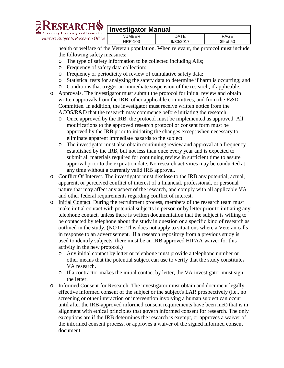| <b>ERESEARCHS</b>                   |                            |           |          |  |  |
|-------------------------------------|----------------------------|-----------|----------|--|--|
| Advancing Creativity and Innovation | <b>Investigator Manual</b> |           |          |  |  |
| Human Subjects Research Office      | <b>NUMBER</b>              | DATE      | PAGE     |  |  |
|                                     | HRP-103                    | 9/30/2017 | 39 of 50 |  |  |

health or welfare of the Veteran population. When relevant, the protocol must include the following safety measures:

- o The type of safety information to be collected including AEs;
- o Frequency of safety data collection;
- o Frequency or periodicity of review of cumulative safety data;
- o Statistical tests for analyzing the safety data to determine if harm is occurring; and
- o Conditions that trigger an immediate suspension of the research, if applicable.
- o Approvals. The investigator must submit the protocol for initial review and obtain written approvals from the IRB, other applicable committees, and from the R&D Committee. In addition, the investigator must receive written notice from the ACOS/R&D that the research may commence before initiating the research.
	- o Once approved by the IRB, the protocol must be implemented as approved. All modifications to the approved research protocol or consent form must be approved by the IRB prior to initiating the changes except when necessary to eliminate apparent immediate hazards to the subject.
	- o The investigator must also obtain continuing review and approval at a frequency established by the IRB, but not less than once every year and is expected to submit all materials required for continuing review in sufficient time to assure approval prior to the expiration date. No research activities may be conducted at any time without a currently valid IRB approval.
- o Conflict Of Interest. The investigator must disclose to the IRB any potential, actual, apparent, or perceived conflict of interest of a financial, professional, or personal nature that may affect any aspect of the research, and comply with all applicable VA and other federal requirements regarding conflict of interest.
- o Initial Contact. During the recruitment process, members of the research team must make initial contact with potential subjects in person or by letter prior to initiating any telephone contact, unless there is written documentation that the subject is willing to be contacted by telephone about the study in question or a specific kind of research as outlined in the study. (NOTE: This does not apply to situations where a Veteran calls in response to an advertisement. If a research repository from a previous study is used to identify subjects, there must be an IRB approved HIPAA waiver for this activity in the new protocol.)
	- o Any initial contact by letter or telephone must provide a telephone number or other means that the potential subject can use to verify that the study constitutes VA research.
	- o If a contractor makes the initial contact by letter, the VA investigator must sign the letter.
- o Informed Consent for Research. The investigator must obtain and document legally effective informed consent of the subject or the subject's LAR prospectively (i.e., no screening or other interaction or intervention involving a human subject can occur until after the IRB-approved informed consent requirements have been met) that is in alignment with ethical principles that govern informed consent for research. The only exceptions are if the IRB determines the research is exempt, or approves a waiver of the informed consent process, or approves a waiver of the signed informed consent document.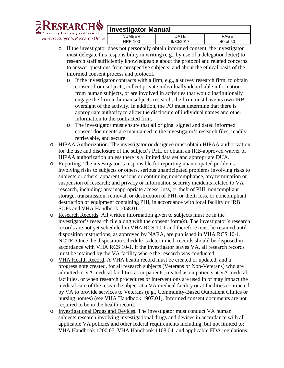

| ınd Innovation |         |             |          |
|----------------|---------|-------------|----------|
| search Office  | NUMBER  | <b>JATF</b> | PAGE     |
|                | HRP-103 | 9/30/2017   | 40 of 50 |

- o If the investigator does not personally obtain informed consent, the investigator must delegate this responsibility in writing (e.g., by use of a delegation letter) to research staff sufficiently knowledgeable about the protocol and related concerns to answer questions from prospective subjects, and about the ethical basis of the informed consent process and protocol.
	- $\circ$  If the investigator contracts with a firm, e.g., a survey research firm, to obtain consent from subjects, collect private individually identifiable information from human subjects, or are involved in activities that would institutionally engage the firm in human subjects research, the firm must have its own IRB oversight of the activity. In addition, the PO must determine that there is appropriate authority to allow the disclosure of individual names and other information to the contracted firm.
	- o The investigator must ensure that all original signed and dated informed consent documents are maintained in the investigator's research files, readily retrievable, and secure.
- o HIPAA Authorization. The investigator or designee must obtain HIPAA authorization for the use and disclosure of the subject's PHI, or obtain an IRB-approved waiver of HIPAA authorization unless there is a limited data set and appropriate DUA.
- o Reporting. The investigator is responsible for reporting unanticipated problems involving risks to subjects or others, serious unanticipated problems involving risks to subjects or others, apparent serious or continuing noncompliance, any termination or suspension of research; and privacy or information security incidents related to VA research, including: any inappropriate access, loss, or theft of PHI; noncompliant storage, transmission, removal, or destruction of PHI; or theft, loss, or noncompliant destruction of equipment containing PHI, in accordance with local facility or IRB SOPs and VHA Handbook 1058.01.
- o Research Records. All written information given to subjects must be in the investigator's research file along with the consent form(s). The investigator's research records are not yet scheduled in VHA RCS 10-1 and therefore must be retained until disposition instructions, as approved by NARA, are published in VHA RCS 10-1. NOTE: Once the disposition schedule is determined, records should be disposed in accordance with VHA RCS 10-1. If the investigator leaves VA, all research records must be retained by the VA facility where the research was conducted.
- o VHA Health Record. A VHA health record must be created or updated, and a progress note created, for all research subjects (Veterans or Non-Veterans) who are admitted to VA medical facilities as in-patients, treated as outpatients at VA medical facilities, or when research procedures or interventions are used in or may impact the medical care of the research subject at a VA medical facility or at facilities contracted by VA to provide services to Veterans (e.g., Community-Based Outpatient Clinics or nursing homes) (see VHA Handbook 1907.01). Informed consent documents are not required to be in the health record.
- o Investigational Drugs and Devices. The investigator must conduct VA human subjects research involving investigational drugs and devices in accordance with all applicable VA policies and other federal requirements including, but not limited to: VHA Handbook 1200.05, VHA Handbook 1108.04, and applicable FDA regulations.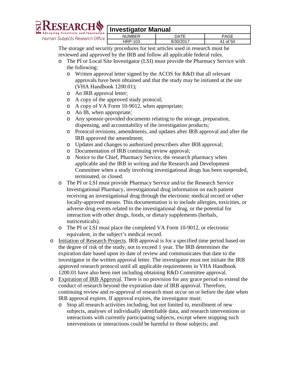| <b>ERESEARCHS</b><br>Advancing Creativity and Innovation | <b>Investigator Manual</b> |           |             |
|----------------------------------------------------------|----------------------------|-----------|-------------|
| Human Subjects Research Office                           | <b>NUMBER</b>              | DATE      | <b>PAGE</b> |
|                                                          | <b>HRP-103</b>             | 9/30/2017 | 41 of 50    |

The storage and security procedures for test articles used in research must be reviewed and approved by the IRB and follow all applicable federal rules.

- o The PI or Local Site Investigator (LSI) must provide the Pharmacy Service with the following:
	- o Written approval letter signed by the ACOS for R&D that all relevant approvals have been obtained and that the study may be initiated at the site (VHA Handbook 1200.01);
	- o An IRB approval letter;
	- o A copy of the approved study protocol;
	- o A copy of VA Form 10-9012, when appropriate;
	- o An IB, when appropriate;
	- o Any sponsor-provided documents relating to the storage, preparation, dispensing, and accountability of the investigation products;
	- o Protocol revisions, amendments, and updates after IRB approval and after the IRB approved the amendment;
	- o Updates and changes to authorized prescribers after IRB approval;
	- o Documentation of IRB continuing review approval;
	- o Notice to the Chief, Pharmacy Service, the research pharmacy when applicable and the IRB in writing and the Research and Development Committee when a study involving investigational drugs has been suspended, terminated, or closed.
- o The PI or LSI must provide Pharmacy Service and/or the Research Service Investigational Pharmacy, investigational drug information on each patient receiving an investigational drug through the electronic medical record or other locally-approved means. This documentation is to include allergies, toxicities, or adverse drug events related to the investigational drug, or the potential for interaction with other drugs, foods, or dietary supplements (herbals, nutriceuticals).
- o The PI or LSI must place the completed VA Form 10-9012, or electronic equivalent, in the subject's medical record.
- o Initiation of Research Projects. IRB approval is for a specified time period based on the degree of risk of the study, not to exceed 1 year. The IRB determines the expiration date based upon its date of review and communicates that date to the investigator in the written approval letter. The investigator must not initiate the IRB approved research protocol until all applicable requirements in VHA Handbook 1200.01 have also been met including obtaining R&D Committee approval.
- o Expiration of IRB Approval. There is no provision for any grace period to extend the conduct of research beyond the expiration date of IRB approval. Therefore, continuing review and re-approval of research must occur on or before the date when IRB approval expires. If approval expires, the investigator must:
	- o Stop all research activities including, but not limited to, enrollment of new subjects, analyses of individually identifiable data, and research interventions or interactions with currently participating subjects, except where stopping such interventions or interactions could be harmful to those subjects; and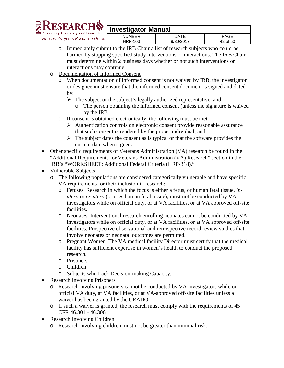

| Advancing Creativity and Innovation |               |           |          |
|-------------------------------------|---------------|-----------|----------|
| Human Subjects Research Office      | <b>NUMBER</b> | DATE      | PAGE     |
|                                     | HRP-103       | 9/30/2017 | 42 of 50 |

- o Immediately submit to the IRB Chair a list of research subjects who could be harmed by stopping specified study interventions or interactions. The IRB Chair must determine within 2 business days whether or not such interventions or interactions may continue.
- o Documentation of Informed Consent
	- o When documentation of informed consent is not waived by IRB, the investigator or designee must ensure that the informed consent document is signed and dated by:
		- $\triangleright$  The subject or the subject's legally authorized representative, and
			- o The person obtaining the informed consent (unless the signature is waived by the IRB
	- o If consent is obtained electronically, the following must be met:
		- $\triangleright$  Authentication controls on electronic consent provide reasonable assurance that such consent is rendered by the proper individual; and
		- $\triangleright$  The subject dates the consent as is typical or that the software provides the current date when signed.
- Other specific requirements of Veterans Administration (VA) research be found in the "Additional Requirements for Veterans Administration (VA) Research" section in the IRB's "WORKSHEET: Additional Federal Criteria (HRP-318)."
- Vulnerable Subjects
	- o The following populations are considered categorically vulnerable and have specific VA requirements for their inclusion in research:
		- o Fetuses. Research in which the focus is either a fetus, or human fetal tissue, *inutero* or *ex-utero* (or uses human fetal tissue), must not be conducted by VA investigators while on official duty, or at VA facilities, or at VA approved off-site facilities.
		- o Neonates. Interventional research enrolling neonates cannot be conducted by VA investigators while on official duty, or at VA facilities, or at VA approved off-site facilities. Prospective observational and retrospective record review studies that involve neonates or neonatal outcomes are permitted.
		- o Pregnant Women. The VA medical facility Director must certify that the medical facility has sufficient expertise in women's health to conduct the proposed research.
		- o Prisoners
		- o Children
		- o Subjects who Lack Decision-making Capacity.
- **Research Involving Prisoners** 
	- o Research involving prisoners cannot be conducted by VA investigators while on official VA duty, at VA facilities, or at VA-approved off-site facilities unless a waiver has been granted by the CRADO.
	- o If such a waiver is granted, the research must comply with the requirements of 45 CFR 46.301 - 46.306.
- Research Involving Children
	- o Research involving children must not be greater than minimal risk.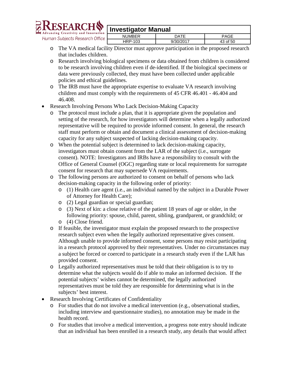| RESEARCHS Investigator Manual  |                |             |             |
|--------------------------------|----------------|-------------|-------------|
| Human Subjects Research Office | <b>NUMBER</b>  | <b>DATE</b> | <b>PAGE</b> |
|                                | <b>HRP-103</b> | 9/30/2017   | 43 of 50    |

- o The VA medical facility Director must approve participation in the proposed research that includes children.
- o Research involving biological specimens or data obtained from children is considered to be research involving children even if de-identified. If the biological specimens or data were previously collected, they must have been collected under applicable policies and ethical guidelines.
- o The IRB must have the appropriate expertise to evaluate VA research involving children and must comply with the requirements of 45 CFR 46.401 - 46.404 and 46.408.
- Research Involving Persons Who Lack Decision-Making Capacity
	- o The protocol must include a plan, that it is appropriate given the population and setting of the research, for how investigators will determine when a legally authorized representative will be required to provide informed consent. In general, the research staff must perform or obtain and document a clinical assessment of decision-making capacity for any subject suspected of lacking decision-making capacity.
	- o When the potential subject is determined to lack decision-making capacity, investigators must obtain consent from the LAR of the subject (i.e., surrogate consent). NOTE: Investigators and IRBs have a responsibility to consult with the Office of General Counsel (OGC) regarding state or local requirements for surrogate consent for research that may supersede VA requirements.
	- o The following persons are authorized to consent on behalf of persons who lack decision-making capacity in the following order of priority:
		- o (1) Health care agent (i.e., an individual named by the subject in a Durable Power of Attorney for Health Care);
		- o (2) Legal guardian or special guardian;
		- o (3) Next of kin: a close relative of the patient 18 years of age or older, in the following priority: spouse, child, parent, sibling, grandparent, or grandchild; or
		- o (4) Close friend.
	- o If feasible, the investigator must explain the proposed research to the prospective research subject even when the legally authorized representative gives consent. Although unable to provide informed consent, some persons may resist participating in a research protocol approved by their representatives. Under no circumstances may a subject be forced or coerced to participate in a research study even if the LAR has provided consent.
	- o Legally authorized representatives must be told that their obligation is to try to determine what the subjects would do if able to make an informed decision. If the potential subjects' wishes cannot be determined, the legally authorized representatives must be told they are responsible for determining what is in the subjects' best interest.
- Research Involving Certificates of Confidentiality
	- o For studies that do not involve a medical intervention (e.g., observational studies, including interview and questionnaire studies), no annotation may be made in the health record.
	- o For studies that involve a medical intervention, a progress note entry should indicate that an individual has been enrolled in a research study, any details that would affect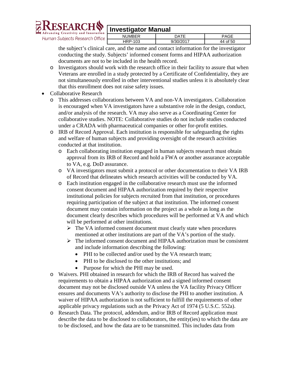

| id Innovation |         |             |             |
|---------------|---------|-------------|-------------|
| earch Office  | NUMBER  | <b>DATF</b> | <b>PAGE</b> |
|               | HRP-103 | 9/30/2017   | 44 of 50    |

the subject's clinical care, and the name and contact information for the investigator conducting the study. Subjects' informed consent forms and HIPAA authorization documents are not to be included in the health record.

- o Investigators should work with the research office in their facility to assure that when Veterans are enrolled in a study protected by a Certificate of Confidentiality, they are not simultaneously enrolled in other interventional studies unless it is absolutely clear that this enrollment does not raise safety issues.
- Collaborative Research
	- o This addresses collaborations between VA and non-VA investigators. Collaboration is encouraged when VA investigators have a substantive role in the design, conduct, and/or analysis of the research. VA may also serve as a Coordinating Center for collaborative studies. NOTE: Collaborative studies do not include studies conducted under a CRADA with pharmaceutical companies or other for-profit entities.
	- o IRB of Record Approval. Each institution is responsible for safeguarding the rights and welfare of human subjects and providing oversight of the research activities conducted at that institution.
		- o Each collaborating institution engaged in human subjects research must obtain approval from its IRB of Record and hold a FWA or another assurance acceptable to VA, e.g. DoD assurance.
		- o VA investigators must submit a protocol or other documentation to their VA IRB of Record that delineates which research activities will be conducted by VA.
		- o Each institution engaged in the collaborative research must use the informed consent document and HIPAA authorization required by their respective institutional policies for subjects recruited from that institution, or procedures requiring participation of the subject at that institution. The informed consent document may contain information on the project as a whole as long as the document clearly describes which procedures will be performed at VA and which will be performed at other institutions.
			- $\triangleright$  The VA informed consent document must clearly state when procedures mentioned at other institutions are part of the VA's portion of the study.
			- The informed consent document and HIPAA authorization must be consistent and include information describing the following:
				- PHI to be collected and/or used by the VA research team;
				- PHI to be disclosed to the other institutions; and
				- Purpose for which the PHI may be used.
	- o Waivers. PHI obtained in research for which the IRB of Record has waived the requirements to obtain a HIPAA authorization and a signed informed consent document may not be disclosed outside VA unless the VA facility Privacy Officer ensures and documents VA's authority to disclose the PHI to another institution. A waiver of HIPAA authorization is not sufficient to fulfill the requirements of other applicable privacy regulations such as the Privacy Act of 1974 (5 U.S.C. 552a).
	- o Research Data. The protocol, addendum, and/or IRB of Record application must describe the data to be disclosed to collaborators, the entity(ies) to which the data are to be disclosed, and how the data are to be transmitted. This includes data from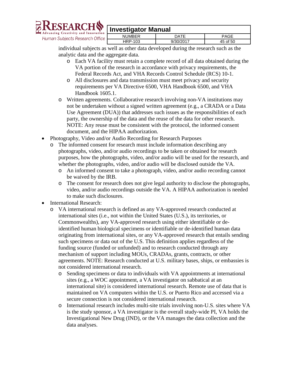| <b>ERESEARCHS</b>                   |                            |           |             |
|-------------------------------------|----------------------------|-----------|-------------|
| Advancing Creativity and Innovation | <b>Investigator Manual</b> |           |             |
| Human Subjects Research Office      | <b>NUMBER</b>              | DATE      | <b>PAGE</b> |
|                                     | <b>HRP-103</b>             | 9/30/2017 | 45 of 50    |

individual subjects as well as other data developed during the research such as the analytic data and the aggregate data.

- o Each VA facility must retain a complete record of all data obtained during the VA portion of the research in accordance with privacy requirements, the Federal Records Act, and VHA Records Control Schedule (RCS) 10-1.
- o All disclosures and data transmission must meet privacy and security requirements per VA Directive 6500, VHA Handbook 6500, and VHA Handbook 1605.1.
- o Written agreements. Collaborative research involving non-VA institutions may not be undertaken without a signed written agreement (e.g., a CRADA or a Data Use Agreement (DUA)) that addresses such issues as the responsibilities of each party, the ownership of the data and the reuse of the data for other research. NOTE: Any reuse must be consistent with the protocol, the informed consent document, and the HIPAA authorization.
- Photography, Video and/or Audio Recording for Research Purposes
	- o The informed consent for research must include information describing any photographs, video, and/or audio recordings to be taken or obtained for research purposes, how the photographs, video, and/or audio will be used for the research, and whether the photographs, video, and/or audio will be disclosed outside the VA.
		- o An informed consent to take a photograph, video, and/or audio recording cannot be waived by the IRB.
		- o The consent for research does not give legal authority to disclose the photographs, video, and/or audio recordings outside the VA. A HIPAA authorization is needed to make such disclosures.
- International Research:
	- o VA international research is defined as any VA-approved research conducted at international sites (i.e., not within the United States (U.S.), its territories, or Commonwealths), any VA-approved research using either identifiable or deidentified human biological specimens or identifiable or de-identified human data originating from international sites, or any VA-approved research that entails sending such specimens or data out of the U.S. This definition applies regardless of the funding source (funded or unfunded) and to research conducted through any mechanism of support including MOUs, CRADAs, grants, contracts, or other agreements. NOTE: Research conducted at U.S. military bases, ships, or embassies is not considered international research.
		- o Sending specimens or data to individuals with VA appointments at international sites (e.g., a WOC appointment, a VA investigator on sabbatical at an international site) is considered international research. Remote use of data that is maintained on VA computers within the U.S. or Puerto Rico and accessed via a secure connection is not considered international research.
		- o International research includes multi-site trials involving non-U.S. sites where VA is the study sponsor, a VA investigator is the overall study-wide PI, VA holds the Investigational New Drug (IND), or the VA manages the data collection and the data analyses.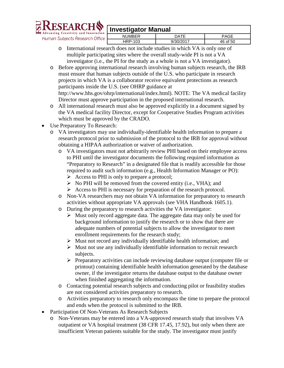

| ty and Innovation |                |             |             |
|-------------------|----------------|-------------|-------------|
| Research Office   | <b>NUMBER</b>  | <b>DATE</b> | <b>PAGE</b> |
|                   | <b>HRP-103</b> | 9/30/2017   | 46 of 50    |

- o International research does not include studies in which VA is only one of multiple participating sites where the overall study-wide PI is not a VA investigator (i.e., the PI for the study as a whole is not a VA investigator).
- o Before approving international research involving human subjects research, the IRB must ensure that human subjects outside of the U.S. who participate in research projects in which VA is a collaborator receive equivalent protections as research participants inside the U.S. (see OHRP guidance at http://www.hhs.gov/ohrp/international/index.html). NOTE: The VA medical facility Director must approve participation in the proposed international research.
- o All international research must also be approved explicitly in a document signed by the VA medical facility Director, except for Cooperative Studies Program activities which must be approved by the CRADO.
- Use Preparatory To Research:
	- o VA investigators may use individually-identifiable health information to prepare a research protocol prior to submission of the protocol to the IRB for approval without obtaining a HIPAA authorization or waiver of authorization.
		- o VA investigators must not arbitrarily review PHI based on their employee access to PHI until the investigator documents the following required information as "Preparatory to Research" in a designated file that is readily accessible for those required to audit such information (e.g., Health Information Manager or PO):
			- Access to PHI is only to prepare a protocol;
			- $\triangleright$  No PHI will be removed from the covered entity (i.e., VHA); and
			- $\triangleright$  Access to PHI is necessary for preparation of the research protocol.
		- o Non-VA researchers may not obtain VA information for preparatory to research activities without appropriate VA approvals (see VHA Handbook 1605.1).
		- o During the preparatory to research activities the VA investigator:
			- $\triangleright$  Must only record aggregate data. The aggregate data may only be used for background information to justify the research or to show that there are adequate numbers of potential subjects to allow the investigator to meet enrollment requirements for the research study;
			- $\triangleright$  Must not record any individually identifiable health information; and
			- $\triangleright$  Must not use any individually identifiable information to recruit research subjects.
			- $\triangleright$  Preparatory activities can include reviewing database output (computer file or printout) containing identifiable health information generated by the database owner, if the investigator returns the database output to the database owner when finished aggregating the information.
		- o Contacting potential research subjects and conducting pilot or feasibility studies are not considered activities preparatory to research.
		- o Activities preparatory to research only encompass the time to prepare the protocol and ends when the protocol is submitted to the IRB.
- Participation Of Non-Veterans As Research Subjects
	- o Non-Veterans may be entered into a VA-approved research study that involves VA outpatient or VA hospital treatment (38 CFR 17.45, 17.92), but only when there are insufficient Veteran patients suitable for the study. The investigator must justify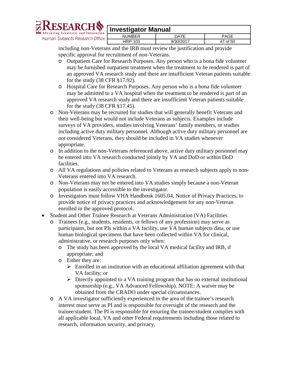| RESEARCH                       | Investigator Manual |           |             |
|--------------------------------|---------------------|-----------|-------------|
| Human Subjects Research Office | <b>NUMBER</b>       | DATF      | <b>PAGE</b> |
|                                | HRP-103             | 9/30/2017 | 47 of 50    |

including non-Veterans and the IRB must review the justification and provide specific approval for recruitment of non-Veterans.

- o Outpatient Care for Research Purposes. Any person who is a bona fide volunteer may be furnished outpatient treatment when the treatment to be rendered is part of an approved VA research study and there are insufficient Veteran patients suitable for the study (38 CFR §17.92).
- o Hospital Care for Research Purposes. Any person who is a bona fide volunteer may be admitted to a VA hospital when the treatment to be rendered is part of an approved VA research study and there are insufficient Veteran patients suitable for the study (38 CFR §17.45).
- o Non-Veterans may be recruited for studies that will generally benefit Veterans and their well-being but would not include Veterans as subjects. Examples include surveys of VA providers, studies involving Veterans' family members, or studies including active duty military personnel. Although active duty military personnel are not considered Veterans, they should be included in VA studies whenever appropriate.
- o In addition to the non-Veterans referenced above, active duty military personnel may be entered into VA research conducted jointly by VA and DoD or within DoD facilities.
- o All VA regulations and policies related to Veterans as research subjects apply to non-Veterans entered into VA research.
- o Non-Veterans may not be entered into VA studies simply because a non-Veteran population is easily accessible to the investigator.
- o Investigators must follow VHA Handbook 1605.04, Notice of Privacy Practices, to provide notice of privacy practices and acknowledgement for any non-Veteran enrolled in the approved protocol.
- Student and Other Trainee Research at Veterans Administration (VA) Facilities
	- o Trainees (e.g., students, residents, or fellows of any profession) may serve as participants, but not PIs within a VA facility, use VA human subjects data, or use human biological specimens that have been collected within VA for clinical, administrative, or research purposes only when:
		- o The study has been approved by the local VA medical facility and IRB, if appropriate; and
		- o Either they are:
			- $\triangleright$  Enrolled in an institution with an educational affiliation agreement with that VA facility; or
			- $\triangleright$  Directly appointed to a VA training program that has no external institutional sponsorship (e.g., VA Advanced Fellowship). NOTE: A waiver may be obtained from the CRADO under special circumstances.
	- o A VA investigator sufficiently experienced in the area of the trainee's research interest must serve as PI and is responsible for oversight of the research and the trainee/student. The PI is responsible for ensuring the trainee/student complies with all applicable local, VA and other Federal requirements including those related to research, information security, and privacy.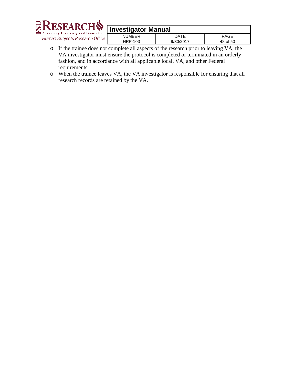

| ncing Creativity and Innovation | <u>IIIVOOLIGALOI IIIAIIGAL</u> |           |          |
|---------------------------------|--------------------------------|-----------|----------|
| nan Subiects Research Office    | NUMBER                         | DATF      | PAGE     |
|                                 | HRP-103                        | 9/30/2017 | 48 of 50 |
|                                 |                                |           |          |

- o If the trainee does not complete all aspects of the research prior to leaving VA, the VA investigator must ensure the protocol is completed or terminated in an orderly fashion, and in accordance with all applicable local, VA, and other Federal requirements.
- o When the trainee leaves VA, the VA investigator is responsible for ensuring that all research records are retained by the VA.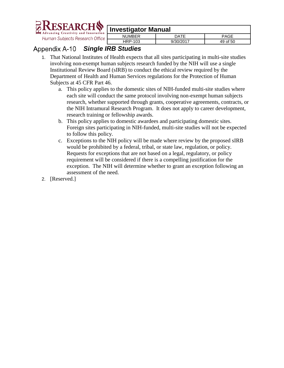

| NUMBER  | <b>IATF</b> | PAGE     |  |  |
|---------|-------------|----------|--|--|
| HRP-103 | 9/30/2017   | 49 of 50 |  |  |

# <span id="page-48-0"></span>*Single IRB Studies*

- 1. That National Institutes of Health expects that all sites participating in multi-site studies involving non-exempt human subjects research funded by the NIH will use a single Institutional Review Board (sIRB) to conduct the ethical review required by the Department of Health and Human Services regulations for the Protection of Human Subjects at 45 CFR Part 46.
	- a. This policy applies to the domestic sites of NIH-funded multi-site studies where each site will conduct the same protocol involving non-exempt human subjects research, whether supported through grants, cooperative agreements, contracts, or the NIH Intramural Research Program. It does not apply to career development, research training or fellowship awards.
	- b. This policy applies to domestic awardees and participating domestic sites. Foreign sites participating in NIH-funded, multi-site studies will not be expected to follow this policy.
	- c. Exceptions to the NIH policy will be made where review by the proposed sIRB would be prohibited by a federal, tribal, or state law, regulation, or policy. Requests for exceptions that are not based on a legal, regulatory, or policy requirement will be considered if there is a compelling justification for the exception. The NIH will determine whether to grant an exception following an assessment of the need.
- 2. [Reserved.]